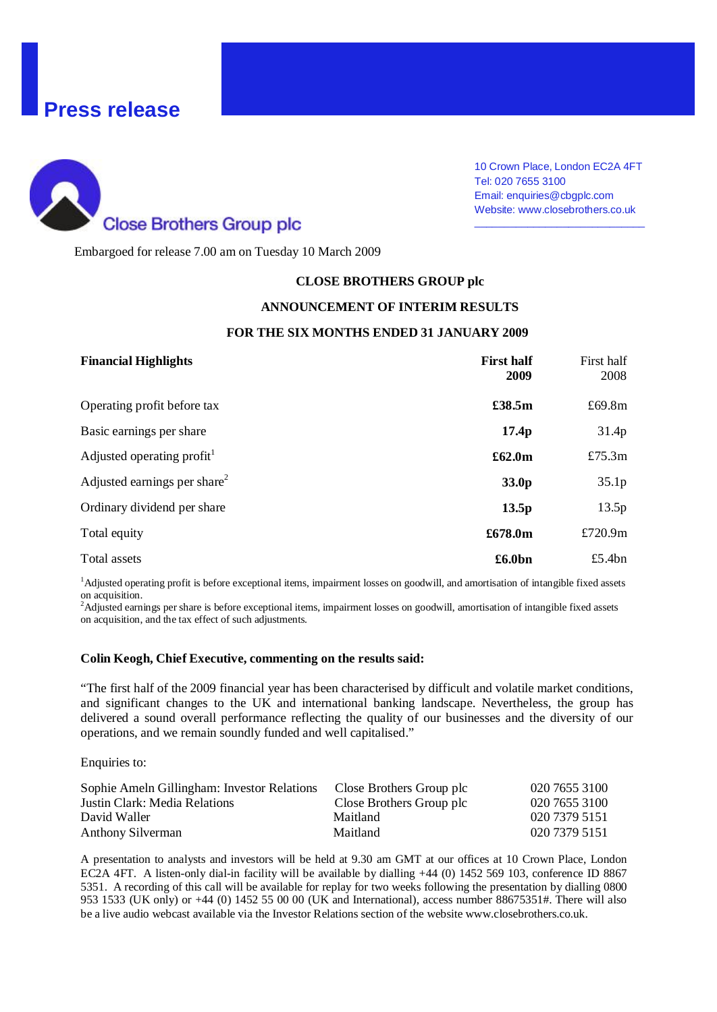# **Press release**



10 Crown Place, London EC2A 4FT Tel: 020 7655 3100 Email: enquiries@cbgplc.com Website: www.closebrothers.co.uk

\_\_\_\_\_\_\_\_\_\_\_\_\_\_\_\_\_\_\_\_\_\_\_\_\_\_\_\_\_

Embargoed for release 7.00 am on Tuesday 10 March 2009

#### **CLOSE BROTHERS GROUP plc**

#### **ANNOUNCEMENT OF INTERIM RESULTS**

#### **FOR THE SIX MONTHS ENDED 31 JANUARY 2009**

| <b>Financial Highlights</b>              | <b>First half</b><br>2009 | First half<br>2008 |
|------------------------------------------|---------------------------|--------------------|
| Operating profit before tax              | £38.5m                    | £69.8m             |
| Basic earnings per share                 | 17.4 <sub>p</sub>         | 31.4p              |
| Adjusted operating profit <sup>1</sup>   | £62.0m                    | £75.3m             |
| Adjusted earnings per share <sup>2</sup> | 33.0p                     | 35.1p              |
| Ordinary dividend per share              | 13.5p                     | 13.5p              |
| Total equity                             | £678.0m                   | £720.9 $m$         |
| Total assets                             | £6.0bn                    | £5.4 $bn$          |

<sup>1</sup>Adjusted operating profit is before exceptional items, impairment losses on goodwill, and amortisation of intangible fixed assets on acquisition.

<sup>2</sup>Adjusted earnings per share is before exceptional items, impairment losses on goodwill, amortisation of intangible fixed assets on acquisition, and the tax effect of such adjustments.

# **Colin Keogh, Chief Executive, commenting on the results said:**

"The first half of the 2009 financial year has been characterised by difficult and volatile market conditions, and significant changes to the UK and international banking landscape. Nevertheless, the group has delivered a sound overall performance reflecting the quality of our businesses and the diversity of our operations, and we remain soundly funded and well capitalised."

Enquiries to:

| Sophie Ameln Gillingham: Investor Relations | Close Brothers Group plc | 020 7655 3100 |
|---------------------------------------------|--------------------------|---------------|
| Justin Clark: Media Relations               | Close Brothers Group plc | 020 7655 3100 |
| David Waller                                | Maitland                 | 020 7379 5151 |
| Anthony Silverman                           | Maitland                 | 020 7379 5151 |

A presentation to analysts and investors will be held at 9.30 am GMT at our offices at 10 Crown Place, London EC2A 4FT. A listen-only dial-in facility will be available by dialling +44 (0) 1452 569 103, conference ID 8867 5351. A recording of this call will be available for replay for two weeks following the presentation by dialling 0800 953 1533 (UK only) or +44 (0) 1452 55 00 00 (UK and International), access number 88675351#. There will also be a live audio webcast available via the Investor Relations section of the website www.closebrothers.co.uk.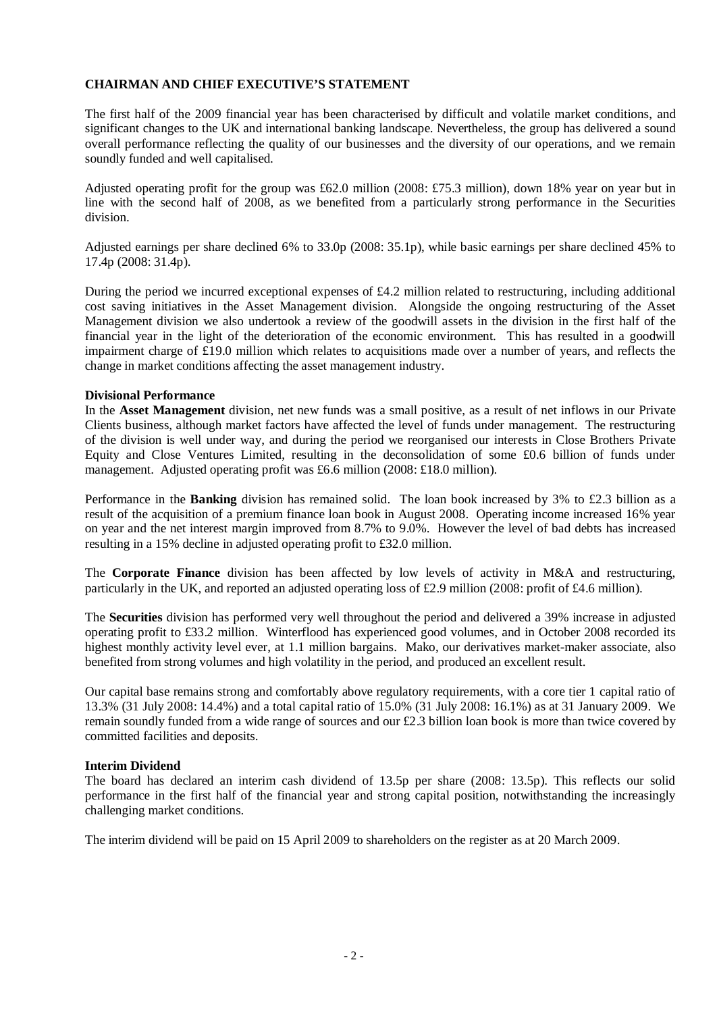# **CHAIRMAN AND CHIEF EXECUTIVE'S STATEMENT**

The first half of the 2009 financial year has been characterised by difficult and volatile market conditions, and significant changes to the UK and international banking landscape. Nevertheless, the group has delivered a sound overall performance reflecting the quality of our businesses and the diversity of our operations, and we remain soundly funded and well capitalised.

Adjusted operating profit for the group was £62.0 million (2008: £75.3 million), down 18% year on year but in line with the second half of 2008, as we benefited from a particularly strong performance in the Securities division.

Adjusted earnings per share declined 6% to 33.0p (2008: 35.1p), while basic earnings per share declined 45% to 17.4p (2008: 31.4p).

During the period we incurred exceptional expenses of £4.2 million related to restructuring, including additional cost saving initiatives in the Asset Management division. Alongside the ongoing restructuring of the Asset Management division we also undertook a review of the goodwill assets in the division in the first half of the financial year in the light of the deterioration of the economic environment. This has resulted in a goodwill impairment charge of £19.0 million which relates to acquisitions made over a number of years, and reflects the change in market conditions affecting the asset management industry.

#### **Divisional Performance**

In the **Asset Management** division, net new funds was a small positive, as a result of net inflows in our Private Clients business, although market factors have affected the level of funds under management. The restructuring of the division is well under way, and during the period we reorganised our interests in Close Brothers Private Equity and Close Ventures Limited, resulting in the deconsolidation of some £0.6 billion of funds under management. Adjusted operating profit was £6.6 million (2008: £18.0 million).

Performance in the **Banking** division has remained solid. The loan book increased by 3% to £2.3 billion as a result of the acquisition of a premium finance loan book in August 2008. Operating income increased 16% year on year and the net interest margin improved from 8.7% to 9.0%. However the level of bad debts has increased resulting in a 15% decline in adjusted operating profit to £32.0 million.

The **Corporate Finance** division has been affected by low levels of activity in M&A and restructuring, particularly in the UK, and reported an adjusted operating loss of £2.9 million (2008: profit of £4.6 million).

The **Securities** division has performed very well throughout the period and delivered a 39% increase in adjusted operating profit to £33.2 million. Winterflood has experienced good volumes, and in October 2008 recorded its highest monthly activity level ever, at 1.1 million bargains. Mako, our derivatives market-maker associate, also benefited from strong volumes and high volatility in the period, and produced an excellent result.

Our capital base remains strong and comfortably above regulatory requirements, with a core tier 1 capital ratio of 13.3% (31 July 2008: 14.4%) and a total capital ratio of 15.0% (31 July 2008: 16.1%) as at 31 January 2009. We remain soundly funded from a wide range of sources and our £2.3 billion loan book is more than twice covered by committed facilities and deposits.

### **Interim Dividend**

The board has declared an interim cash dividend of 13.5p per share (2008: 13.5p). This reflects our solid performance in the first half of the financial year and strong capital position, notwithstanding the increasingly challenging market conditions.

The interim dividend will be paid on 15 April 2009 to shareholders on the register as at 20 March 2009.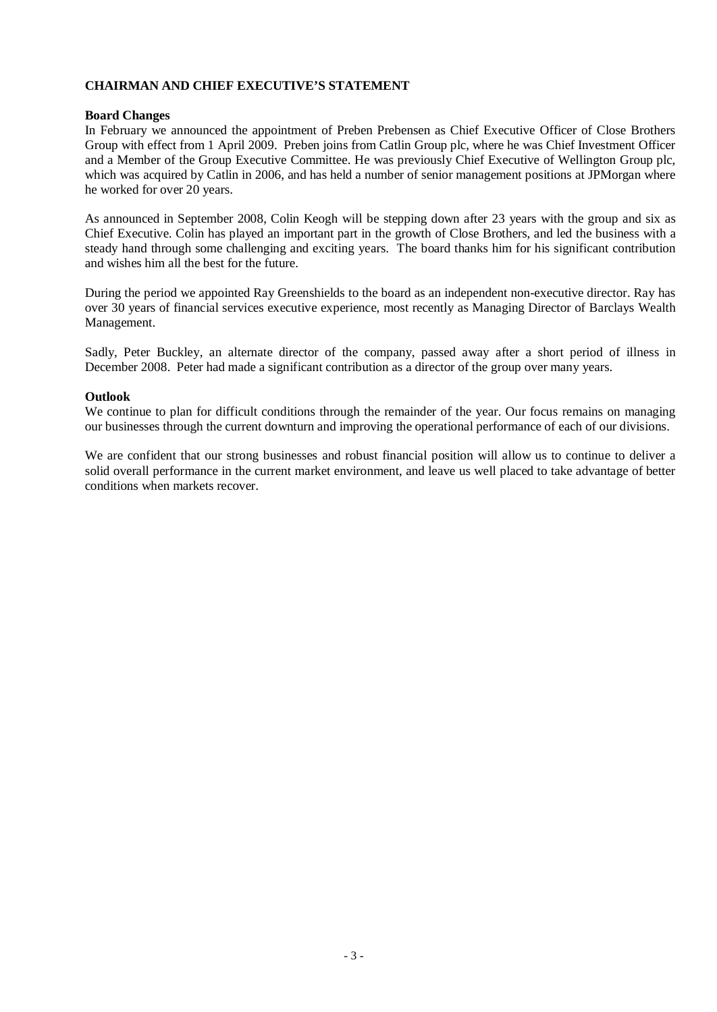# **CHAIRMAN AND CHIEF EXECUTIVE'S STATEMENT**

#### **Board Changes**

In February we announced the appointment of Preben Prebensen as Chief Executive Officer of Close Brothers Group with effect from 1 April 2009. Preben joins from Catlin Group plc, where he was Chief Investment Officer and a Member of the Group Executive Committee. He was previously Chief Executive of Wellington Group plc, which was acquired by Catlin in 2006, and has held a number of senior management positions at JPMorgan where he worked for over 20 years.

As announced in September 2008, Colin Keogh will be stepping down after 23 years with the group and six as Chief Executive. Colin has played an important part in the growth of Close Brothers, and led the business with a steady hand through some challenging and exciting years. The board thanks him for his significant contribution and wishes him all the best for the future.

During the period we appointed Ray Greenshields to the board as an independent non-executive director. Ray has over 30 years of financial services executive experience, most recently as Managing Director of Barclays Wealth Management.

Sadly, Peter Buckley, an alternate director of the company, passed away after a short period of illness in December 2008. Peter had made a significant contribution as a director of the group over many years.

#### **Outlook**

We continue to plan for difficult conditions through the remainder of the year. Our focus remains on managing our businesses through the current downturn and improving the operational performance of each of our divisions.

We are confident that our strong businesses and robust financial position will allow us to continue to deliver a solid overall performance in the current market environment, and leave us well placed to take advantage of better conditions when markets recover.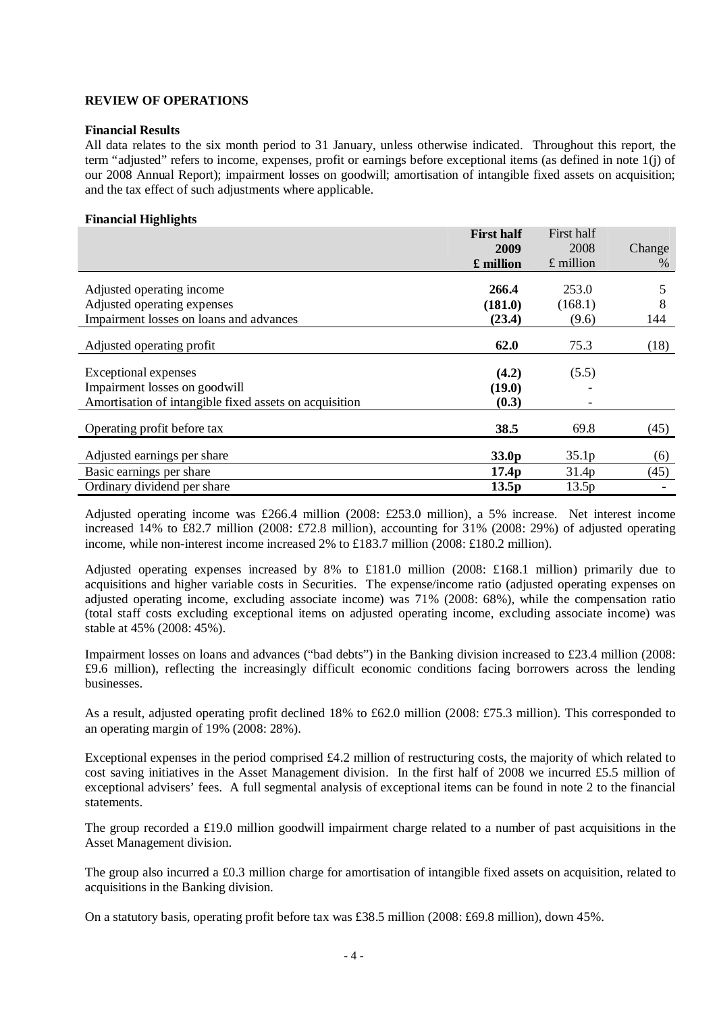#### **Financial Results**

All data relates to the six month period to 31 January, unless otherwise indicated. Throughout this report, the term "adjusted" refers to income, expenses, profit or earnings before exceptional items (as defined in note 1(j) of our 2008 Annual Report); impairment losses on goodwill; amortisation of intangible fixed assets on acquisition; and the tax effect of such adjustments where applicable.

#### **Financial Highlights**

|                                                        | <b>First half</b> | First half        |        |
|--------------------------------------------------------|-------------------|-------------------|--------|
|                                                        | 2009              | 2008              | Change |
|                                                        | £ million         | $£$ million       | $\%$   |
| Adjusted operating income                              | 266.4             | 253.0             | 5      |
|                                                        |                   |                   |        |
| Adjusted operating expenses                            | (181.0)           | (168.1)           | 8      |
| Impairment losses on loans and advances                | (23.4)            | (9.6)             | 144    |
| Adjusted operating profit                              | 62.0              | 75.3              | (18)   |
|                                                        |                   |                   |        |
| Exceptional expenses                                   | (4.2)             | (5.5)             |        |
| Impairment losses on goodwill                          | (19.0)            |                   |        |
| Amortisation of intangible fixed assets on acquisition | (0.3)             |                   |        |
| Operating profit before tax                            | 38.5              | 69.8              | (45)   |
| Adjusted earnings per share                            | 33.0 <sub>p</sub> | 35.1 <sub>p</sub> | (6)    |
| Basic earnings per share                               | 17.4 <sub>p</sub> | 31.4p             | (45)   |
| Ordinary dividend per share                            | 13.5p             | 13.5p             |        |

Adjusted operating income was £266.4 million (2008: £253.0 million), a 5% increase. Net interest income increased 14% to £82.7 million (2008: £72.8 million), accounting for 31% (2008: 29%) of adjusted operating income, while non-interest income increased 2% to £183.7 million (2008: £180.2 million).

Adjusted operating expenses increased by 8% to £181.0 million (2008: £168.1 million) primarily due to acquisitions and higher variable costs in Securities. The expense/income ratio (adjusted operating expenses on adjusted operating income, excluding associate income) was 71% (2008: 68%), while the compensation ratio (total staff costs excluding exceptional items on adjusted operating income, excluding associate income) was stable at 45% (2008: 45%).

Impairment losses on loans and advances ("bad debts") in the Banking division increased to £23.4 million (2008: £9.6 million), reflecting the increasingly difficult economic conditions facing borrowers across the lending businesses.

As a result, adjusted operating profit declined 18% to £62.0 million (2008: £75.3 million). This corresponded to an operating margin of 19% (2008: 28%).

Exceptional expenses in the period comprised £4.2 million of restructuring costs, the majority of which related to cost saving initiatives in the Asset Management division. In the first half of 2008 we incurred £5.5 million of exceptional advisers' fees. A full segmental analysis of exceptional items can be found in note 2 to the financial statements.

The group recorded a £19.0 million goodwill impairment charge related to a number of past acquisitions in the Asset Management division.

The group also incurred a £0.3 million charge for amortisation of intangible fixed assets on acquisition, related to acquisitions in the Banking division.

On a statutory basis, operating profit before tax was £38.5 million (2008: £69.8 million), down 45%.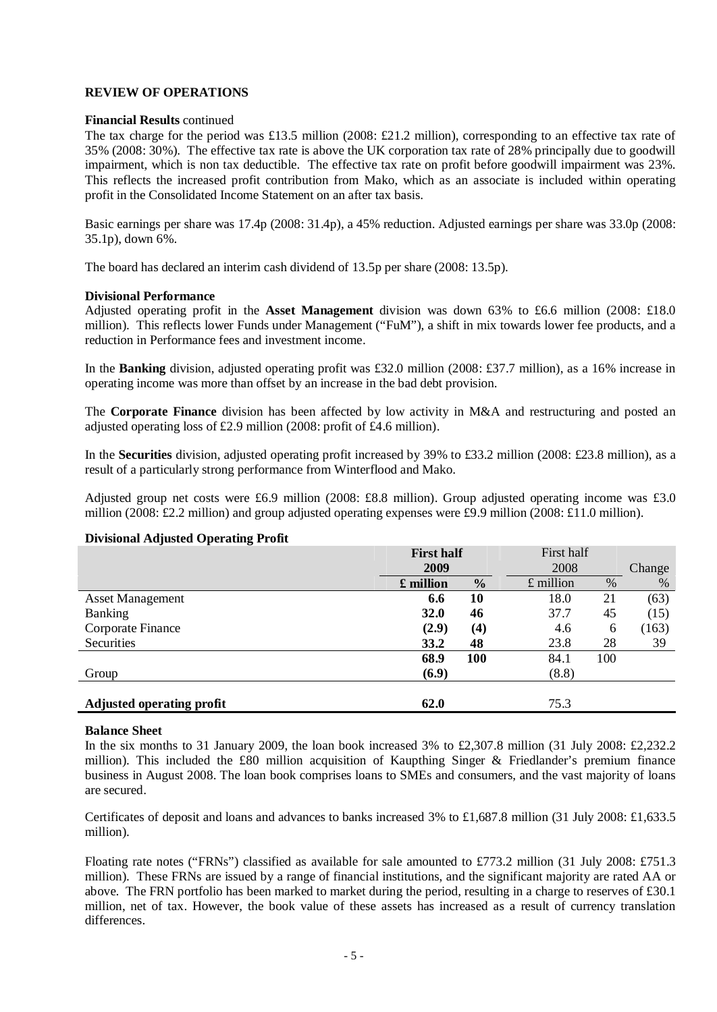#### **Financial Results** continued

The tax charge for the period was £13.5 million (2008: £21.2 million), corresponding to an effective tax rate of 35% (2008: 30%). The effective tax rate is above the UK corporation tax rate of 28% principally due to goodwill impairment, which is non tax deductible. The effective tax rate on profit before goodwill impairment was 23%. This reflects the increased profit contribution from Mako, which as an associate is included within operating profit in the Consolidated Income Statement on an after tax basis.

Basic earnings per share was 17.4p (2008: 31.4p), a 45% reduction. Adjusted earnings per share was 33.0p (2008: 35.1p), down 6%.

The board has declared an interim cash dividend of 13.5p per share (2008: 13.5p).

#### **Divisional Performance**

Adjusted operating profit in the **Asset Management** division was down 63% to £6.6 million (2008: £18.0 million). This reflects lower Funds under Management ("FuM"), a shift in mix towards lower fee products, and a reduction in Performance fees and investment income.

In the **Banking** division, adjusted operating profit was £32.0 million (2008: £37.7 million), as a 16% increase in operating income was more than offset by an increase in the bad debt provision.

The **Corporate Finance** division has been affected by low activity in M&A and restructuring and posted an adjusted operating loss of £2.9 million (2008: profit of £4.6 million).

In the **Securities** division, adjusted operating profit increased by 39% to £33.2 million (2008: £23.8 million), as a result of a particularly strong performance from Winterflood and Mako.

Adjusted group net costs were £6.9 million (2008: £8.8 million). Group adjusted operating income was £3.0 million (2008: £2.2 million) and group adjusted operating expenses were £9.9 million (2008: £11.0 million).

#### **Divisional Adjusted Operating Profit**

| $\cdot$<br>ж.<br>ັ               | <b>First half</b> |                   | First half  |     |        |
|----------------------------------|-------------------|-------------------|-------------|-----|--------|
|                                  | 2009              |                   | 2008        |     | Change |
|                                  | £ million         | $\frac{0}{0}$     | $£$ million | %   | $\%$   |
| <b>Asset Management</b>          | 6.6               | 10                | 18.0        | 21  | (63)   |
| <b>Banking</b>                   | 32.0              | 46                | 37.7        | 45  | (15)   |
| Corporate Finance                | (2.9)             | $\left( 4\right)$ | 4.6         | 6   | (163)  |
| Securities                       | 33.2              | 48                | 23.8        | 28  | 39     |
|                                  | 68.9              | <b>100</b>        | 84.1        | 100 |        |
| Group                            | (6.9)             |                   | (8.8)       |     |        |
| <b>Adjusted operating profit</b> | 62.0              |                   | 75.3        |     |        |

#### **Balance Sheet**

In the six months to 31 January 2009, the loan book increased 3% to £2,307.8 million (31 July 2008: £2,232.2 million). This included the £80 million acquisition of Kaupthing Singer & Friedlander's premium finance business in August 2008. The loan book comprises loans to SMEs and consumers, and the vast majority of loans are secured.

Certificates of deposit and loans and advances to banks increased 3% to £1,687.8 million (31 July 2008: £1,633.5 million).

Floating rate notes ("FRNs") classified as available for sale amounted to £773.2 million (31 July 2008: £751.3 million). These FRNs are issued by a range of financial institutions, and the significant majority are rated AA or above. The FRN portfolio has been marked to market during the period, resulting in a charge to reserves of £30.1 million, net of tax. However, the book value of these assets has increased as a result of currency translation differences.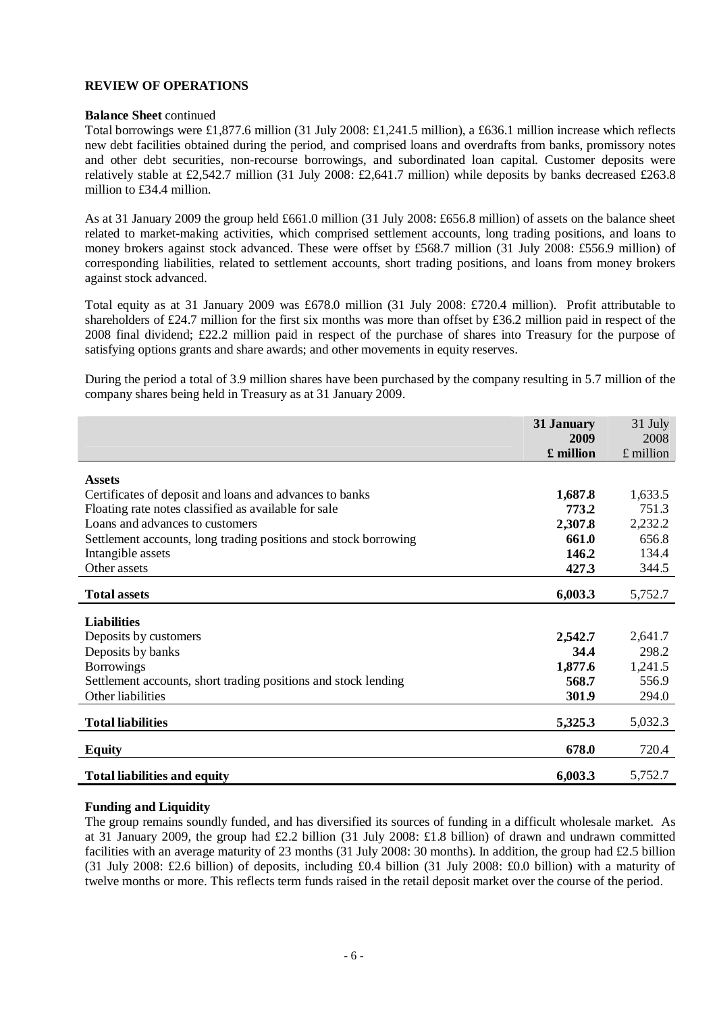#### **Balance Sheet** continued

Total borrowings were £1,877.6 million (31 July 2008: £1,241.5 million), a £636.1 million increase which reflects new debt facilities obtained during the period, and comprised loans and overdrafts from banks, promissory notes and other debt securities, non-recourse borrowings, and subordinated loan capital. Customer deposits were relatively stable at £2,542.7 million (31 July 2008: £2,641.7 million) while deposits by banks decreased £263.8 million to £34.4 million.

As at 31 January 2009 the group held £661.0 million (31 July 2008: £656.8 million) of assets on the balance sheet related to market-making activities, which comprised settlement accounts, long trading positions, and loans to money brokers against stock advanced. These were offset by £568.7 million (31 July 2008: £556.9 million) of corresponding liabilities, related to settlement accounts, short trading positions, and loans from money brokers against stock advanced.

Total equity as at 31 January 2009 was £678.0 million (31 July 2008: £720.4 million). Profit attributable to shareholders of £24.7 million for the first six months was more than offset by £36.2 million paid in respect of the 2008 final dividend; £22.2 million paid in respect of the purchase of shares into Treasury for the purpose of satisfying options grants and share awards; and other movements in equity reserves.

During the period a total of 3.9 million shares have been purchased by the company resulting in 5.7 million of the company shares being held in Treasury as at 31 January 2009.

|                                                                 | 31 January | 31 July     |
|-----------------------------------------------------------------|------------|-------------|
|                                                                 | 2009       | 2008        |
|                                                                 | £ million  | $£$ million |
|                                                                 |            |             |
| <b>Assets</b>                                                   |            |             |
| Certificates of deposit and loans and advances to banks         | 1,687.8    | 1,633.5     |
| Floating rate notes classified as available for sale            | 773.2      | 751.3       |
| Loans and advances to customers                                 | 2,307.8    | 2,232.2     |
| Settlement accounts, long trading positions and stock borrowing | 661.0      | 656.8       |
| Intangible assets                                               | 146.2      | 134.4       |
| Other assets                                                    | 427.3      | 344.5       |
|                                                                 |            |             |
| <b>Total assets</b>                                             | 6,003.3    | 5,752.7     |
|                                                                 |            |             |
| <b>Liabilities</b>                                              |            |             |
| Deposits by customers                                           | 2,542.7    | 2,641.7     |
| Deposits by banks                                               | 34.4       | 298.2       |
| <b>Borrowings</b>                                               | 1,877.6    | 1,241.5     |
| Settlement accounts, short trading positions and stock lending  | 568.7      | 556.9       |
| Other liabilities                                               | 301.9      | 294.0       |
|                                                                 |            |             |
| <b>Total liabilities</b>                                        | 5,325.3    | 5,032.3     |
| <b>Equity</b>                                                   | 678.0      | 720.4       |
| <b>Total liabilities and equity</b>                             | 6,003.3    | 5,752.7     |

### **Funding and Liquidity**

The group remains soundly funded, and has diversified its sources of funding in a difficult wholesale market. As at 31 January 2009, the group had £2.2 billion (31 July 2008: £1.8 billion) of drawn and undrawn committed facilities with an average maturity of 23 months (31 July 2008: 30 months). In addition, the group had £2.5 billion (31 July 2008: £2.6 billion) of deposits, including £0.4 billion (31 July 2008: £0.0 billion) with a maturity of twelve months or more. This reflects term funds raised in the retail deposit market over the course of the period.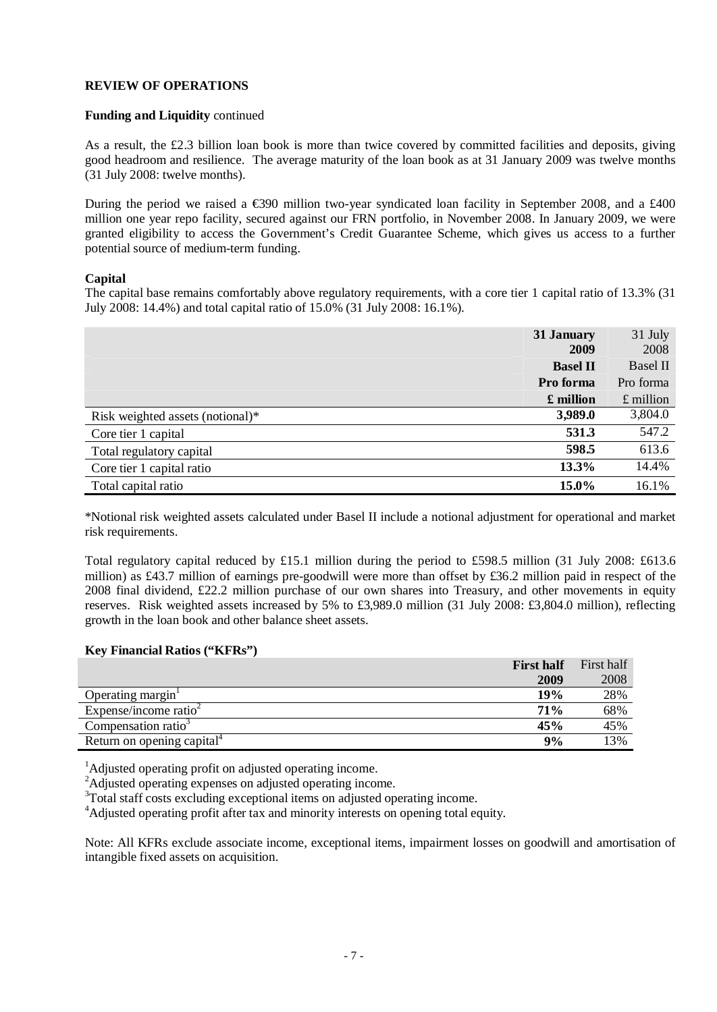# **Funding and Liquidity** continued

As a result, the £2.3 billion loan book is more than twice covered by committed facilities and deposits, giving good headroom and resilience. The average maturity of the loan book as at 31 January 2009 was twelve months (31 July 2008: twelve months).

During the period we raised a €390 million two-year syndicated loan facility in September 2008, and a £400 million one year repo facility, secured against our FRN portfolio, in November 2008. In January 2009, we were granted eligibility to access the Government's Credit Guarantee Scheme, which gives us access to a further potential source of medium-term funding.

#### **Capital**

The capital base remains comfortably above regulatory requirements, with a core tier 1 capital ratio of 13.3% (31 July 2008: 14.4%) and total capital ratio of 15.0% (31 July 2008: 16.1%).

|                                  | 31 January<br><b>2009</b> | 31 July<br>2008 |
|----------------------------------|---------------------------|-----------------|
|                                  | <b>Basel II</b>           | <b>Basel II</b> |
|                                  | Pro forma                 | Pro forma       |
|                                  | £ million                 | $£$ million     |
| Risk weighted assets (notional)* | 3,989.0                   | 3,804.0         |
| Core tier 1 capital              | 531.3                     | 547.2           |
| Total regulatory capital         | 598.5                     | 613.6           |
| Core tier 1 capital ratio        | 13.3%                     | 14.4%           |
| Total capital ratio              | 15.0%                     | 16.1%           |

\*Notional risk weighted assets calculated under Basel II include a notional adjustment for operational and market risk requirements.

Total regulatory capital reduced by £15.1 million during the period to £598.5 million (31 July 2008: £613.6 million) as £43.7 million of earnings pre-goodwill were more than offset by £36.2 million paid in respect of the 2008 final dividend, £22.2 million purchase of our own shares into Treasury, and other movements in equity reserves. Risk weighted assets increased by 5% to £3,989.0 million (31 July 2008: £3,804.0 million), reflecting growth in the loan book and other balance sheet assets.

#### **Key Financial Ratios ("KFRs")**

|                                        | <b>First half</b> | First half |
|----------------------------------------|-------------------|------------|
|                                        | 2009              | 2008       |
| Operating margin                       | 19%               | 28%        |
| Expense/income ratio $\epsilon$        | 71%               | 68%        |
| Compensation ratio <sup>3</sup>        | 45%               | 45%        |
| Return on opening capital <sup>4</sup> | 9%                | 13%        |

 $<sup>1</sup>$ Adjusted operating profit on adjusted operating income.</sup>

<sup>2</sup>Adjusted operating expenses on adjusted operating income.

<sup>3</sup>Total staff costs excluding exceptional items on adjusted operating income.

<sup>4</sup>Adjusted operating profit after tax and minority interests on opening total equity.

Note: All KFRs exclude associate income, exceptional items, impairment losses on goodwill and amortisation of intangible fixed assets on acquisition.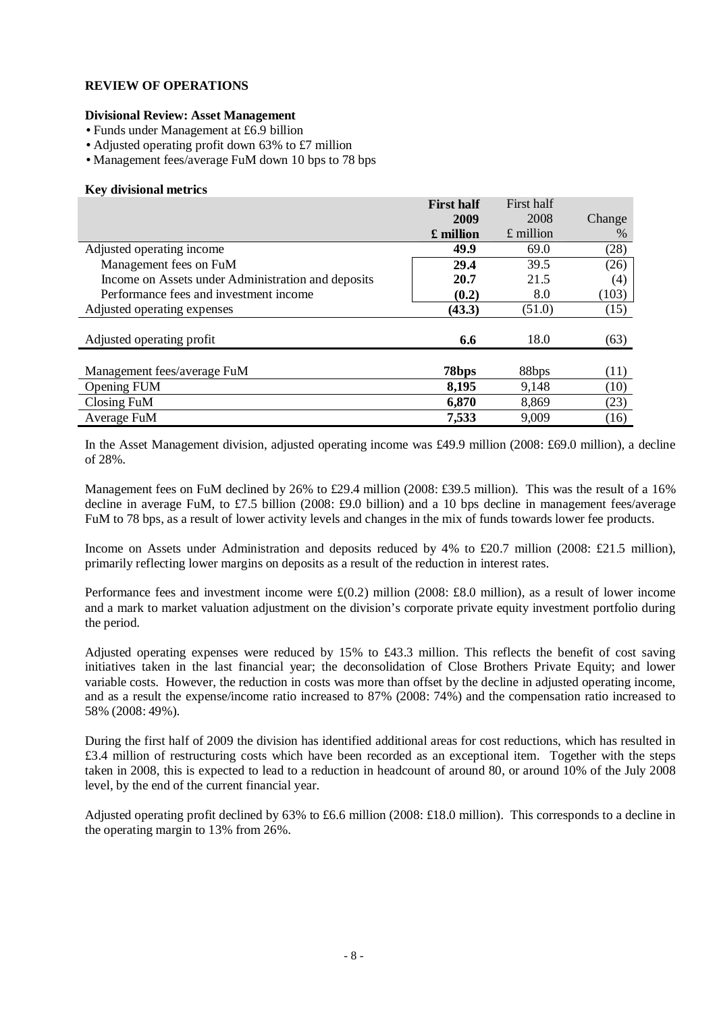# **Divisional Review: Asset Management**

- Funds under Management at £6.9 billion
- Adjusted operating profit down 63% to £7 million
- Management fees/average FuM down 10 bps to 78 bps

### **Key divisional metrics**

|                                                    | <b>First half</b> | First half  |        |
|----------------------------------------------------|-------------------|-------------|--------|
|                                                    | 2009              | 2008        | Change |
|                                                    | £ million         | $£$ million | $\%$   |
| Adjusted operating income                          | 49.9              | 69.0        | (28)   |
| Management fees on FuM                             | 29.4              | 39.5        | (26)   |
| Income on Assets under Administration and deposits | 20.7              | 21.5        | (4)    |
| Performance fees and investment income             | (0.2)             | 8.0         | (103)  |
| Adjusted operating expenses                        | (43.3)            | (51.0)      | (15)   |
| Adjusted operating profit                          | 6.6               | 18.0        | (63)   |
| Management fees/average FuM                        | 78bps             | 88bps       | (11)   |
| <b>Opening FUM</b>                                 | 8,195             | 9,148       | (10)   |
| Closing FuM                                        | 6,870             | 8,869       | (23)   |
| Average FuM                                        | 7,533             | 9,009       | (16)   |

In the Asset Management division, adjusted operating income was £49.9 million (2008: £69.0 million), a decline of 28%.

Management fees on FuM declined by 26% to £29.4 million (2008: £39.5 million). This was the result of a 16% decline in average FuM, to £7.5 billion (2008: £9.0 billion) and a 10 bps decline in management fees/average FuM to 78 bps, as a result of lower activity levels and changes in the mix of funds towards lower fee products.

Income on Assets under Administration and deposits reduced by 4% to £20.7 million (2008: £21.5 million), primarily reflecting lower margins on deposits as a result of the reduction in interest rates.

Performance fees and investment income were  $\pounds$ (0.2) million (2008:  $\pounds$ 8.0 million), as a result of lower income and a mark to market valuation adjustment on the division's corporate private equity investment portfolio during the period.

Adjusted operating expenses were reduced by 15% to £43.3 million. This reflects the benefit of cost saving initiatives taken in the last financial year; the deconsolidation of Close Brothers Private Equity; and lower variable costs. However, the reduction in costs was more than offset by the decline in adjusted operating income, and as a result the expense/income ratio increased to 87% (2008: 74%) and the compensation ratio increased to 58% (2008: 49%).

During the first half of 2009 the division has identified additional areas for cost reductions, which has resulted in £3.4 million of restructuring costs which have been recorded as an exceptional item. Together with the steps taken in 2008, this is expected to lead to a reduction in headcount of around 80, or around 10% of the July 2008 level, by the end of the current financial year.

Adjusted operating profit declined by 63% to £6.6 million (2008: £18.0 million). This corresponds to a decline in the operating margin to 13% from 26%.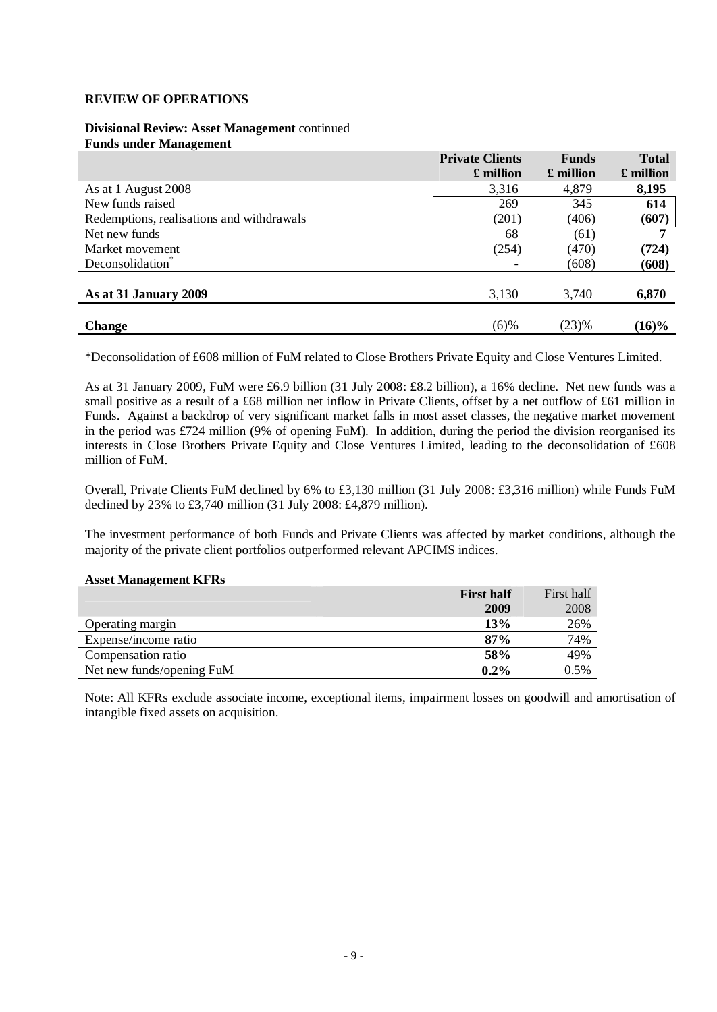#### **Divisional Review: Asset Management** continued **Funds under Management**

|                                           | <b>Private Clients</b><br>$\pounds$ million | <b>Funds</b><br>£ million | <b>Total</b><br>$\pounds$ million |
|-------------------------------------------|---------------------------------------------|---------------------------|-----------------------------------|
| As at 1 August 2008                       | 3,316                                       | 4,879                     | 8,195                             |
| New funds raised                          | 269                                         | 345                       | 614                               |
| Redemptions, realisations and withdrawals | (201)                                       | (406)                     | (607)                             |
| Net new funds                             | 68                                          | (61)                      |                                   |
| Market movement                           | (254)                                       | (470)                     | (724)                             |
| Deconsolidation <sup>®</sup>              |                                             | (608)                     | (608)                             |
| As at 31 January 2009                     | 3,130                                       | 3,740                     | 6,870                             |
| <b>Change</b>                             | $(6)$ %                                     | (23)%                     | $(16)\%$                          |

\*Deconsolidation of £608 million of FuM related to Close Brothers Private Equity and Close Ventures Limited.

As at 31 January 2009, FuM were £6.9 billion (31 July 2008: £8.2 billion), a 16% decline. Net new funds was a small positive as a result of a £68 million net inflow in Private Clients, offset by a net outflow of £61 million in Funds. Against a backdrop of very significant market falls in most asset classes, the negative market movement in the period was £724 million (9% of opening FuM). In addition, during the period the division reorganised its interests in Close Brothers Private Equity and Close Ventures Limited, leading to the deconsolidation of £608 million of FuM.

Overall, Private Clients FuM declined by 6% to £3,130 million (31 July 2008: £3,316 million) while Funds FuM declined by 23% to £3,740 million (31 July 2008: £4,879 million).

The investment performance of both Funds and Private Clients was affected by market conditions, although the majority of the private client portfolios outperformed relevant APCIMS indices.

#### **Asset Management KFRs**

|                           | <b>First half</b> | First half |
|---------------------------|-------------------|------------|
|                           | 2009              | 2008       |
| Operating margin          | 13%               | 26%        |
| Expense/income ratio      | 87%               | 74%        |
| Compensation ratio        | 58%               | 49%        |
| Net new funds/opening FuM | $0.2\%$           | $0.5\%$    |

Note: All KFRs exclude associate income, exceptional items, impairment losses on goodwill and amortisation of intangible fixed assets on acquisition.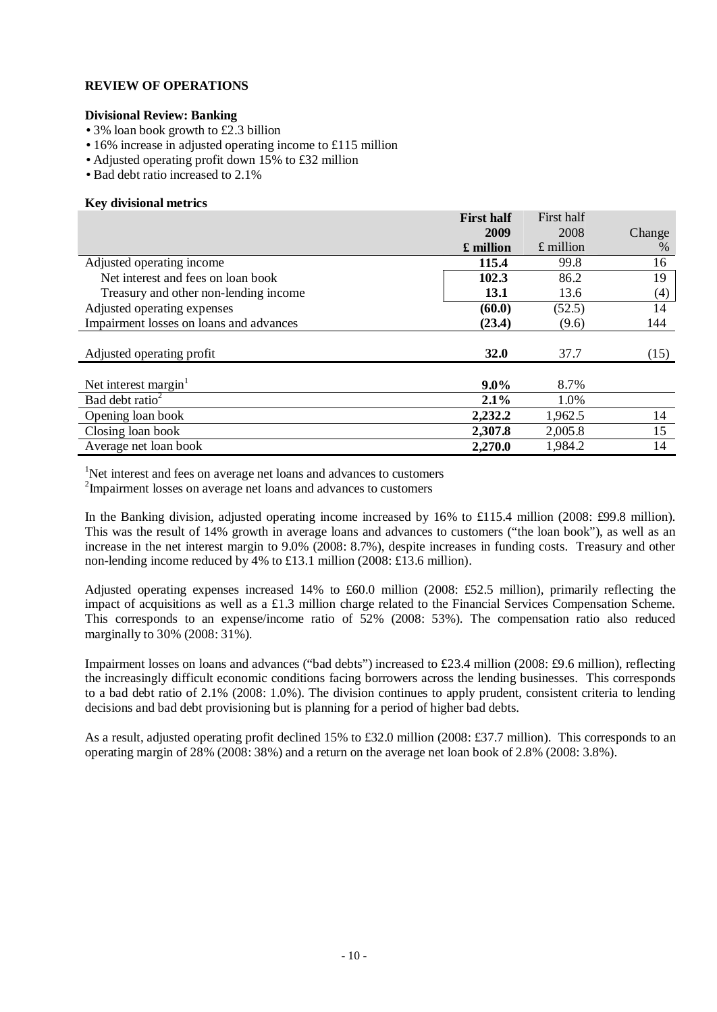#### **Divisional Review: Banking**

- 3% loan book growth to £2.3 billion
- 16% increase in adjusted operating income to £115 million
- Adjusted operating profit down 15% to £32 million
- Bad debt ratio increased to 2.1%

#### **Key divisional metrics**

|                                         | <b>First half</b> | First half  |        |
|-----------------------------------------|-------------------|-------------|--------|
|                                         | 2009              | 2008        | Change |
|                                         | £ million         | $£$ million | $\%$   |
| Adjusted operating income               | 115.4             | 99.8        | 16     |
| Net interest and fees on loan book      | 102.3             | 86.2        | 19     |
| Treasury and other non-lending income   | 13.1              | 13.6        | (4)    |
| Adjusted operating expenses             | (60.0)            | (52.5)      | 14     |
| Impairment losses on loans and advances | (23.4)            | (9.6)       | 144    |
|                                         |                   |             |        |
| Adjusted operating profit               | <b>32.0</b>       | 37.7        | (15)   |
|                                         |                   |             |        |
| Net interest margin $1$                 | $9.0\%$           | 8.7%        |        |
| Bad debt ratio <sup>2</sup>             | 2.1%              | 1.0%        |        |
| Opening loan book                       | 2,232.2           | 1,962.5     | 14     |
| Closing loan book                       | 2,307.8           | 2,005.8     | 15     |
| Average net loan book                   | 2,270.0           | 1,984.2     | 14     |

<sup>1</sup>Net interest and fees on average net loans and advances to customers

<sup>2</sup>Impairment losses on average net loans and advances to customers

In the Banking division, adjusted operating income increased by 16% to £115.4 million (2008: £99.8 million). This was the result of 14% growth in average loans and advances to customers ("the loan book"), as well as an increase in the net interest margin to 9.0% (2008: 8.7%), despite increases in funding costs. Treasury and other non-lending income reduced by 4% to £13.1 million (2008: £13.6 million).

Adjusted operating expenses increased 14% to £60.0 million (2008: £52.5 million), primarily reflecting the impact of acquisitions as well as a £1.3 million charge related to the Financial Services Compensation Scheme. This corresponds to an expense/income ratio of 52% (2008: 53%). The compensation ratio also reduced marginally to 30% (2008: 31%).

Impairment losses on loans and advances ("bad debts") increased to £23.4 million (2008: £9.6 million), reflecting the increasingly difficult economic conditions facing borrowers across the lending businesses. This corresponds to a bad debt ratio of 2.1% (2008: 1.0%). The division continues to apply prudent, consistent criteria to lending decisions and bad debt provisioning but is planning for a period of higher bad debts.

As a result, adjusted operating profit declined 15% to £32.0 million (2008: £37.7 million). This corresponds to an operating margin of 28% (2008: 38%) and a return on the average net loan book of 2.8% (2008: 3.8%).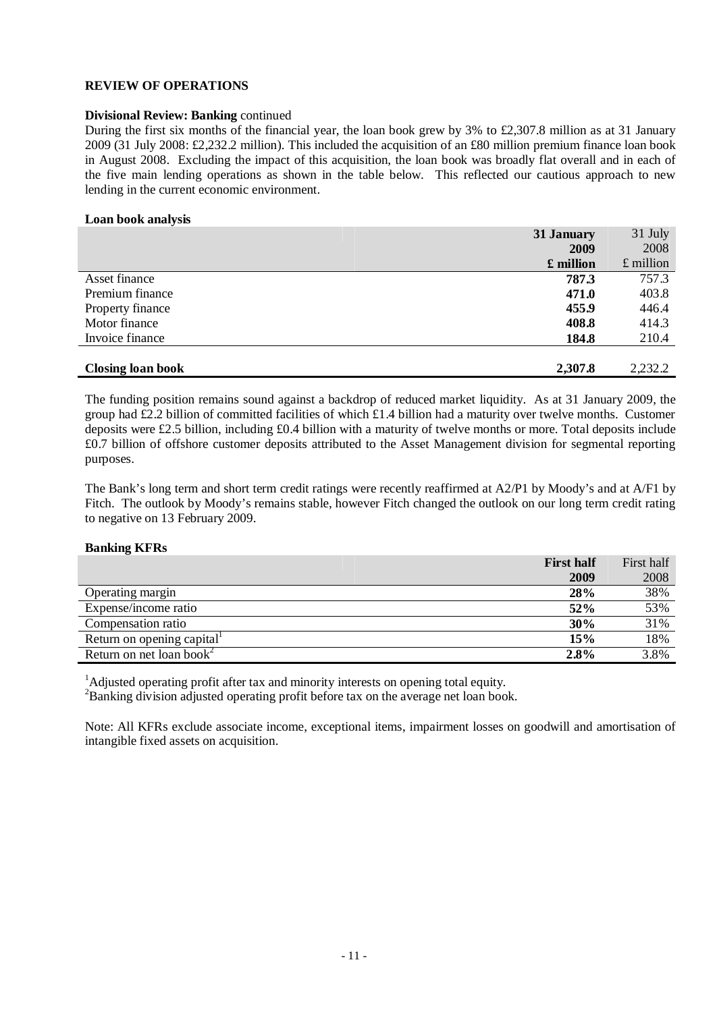### **Divisional Review: Banking** continued

During the first six months of the financial year, the loan book grew by 3% to £2,307.8 million as at 31 January 2009 (31 July 2008: £2,232.2 million). This included the acquisition of an £80 million premium finance loan book in August 2008. Excluding the impact of this acquisition, the loan book was broadly flat overall and in each of the five main lending operations as shown in the table below. This reflected our cautious approach to new lending in the current economic environment.

#### **Loan book analysis**

|                          | 31 January | 31 July     |
|--------------------------|------------|-------------|
|                          | 2009       | 2008        |
|                          | £ million  | $£$ million |
| Asset finance            | 787.3      | 757.3       |
| Premium finance          | 471.0      | 403.8       |
| Property finance         | 455.9      | 446.4       |
| Motor finance            | 408.8      | 414.3       |
| Invoice finance          | 184.8      | 210.4       |
|                          |            |             |
| <b>Closing loan book</b> | 2,307.8    | 2,232.2     |

The funding position remains sound against a backdrop of reduced market liquidity. As at 31 January 2009, the group had £2.2 billion of committed facilities of which £1.4 billion had a maturity over twelve months. Customer deposits were £2.5 billion, including £0.4 billion with a maturity of twelve months or more. Total deposits include £0.7 billion of offshore customer deposits attributed to the Asset Management division for segmental reporting purposes.

The Bank's long term and short term credit ratings were recently reaffirmed at A2/P1 by Moody's and at A/F1 by Fitch. The outlook by Moody's remains stable, however Fitch changed the outlook on our long term credit rating to negative on 13 February 2009.

### **Banking KFRs**

|                                      | <b>First half</b> | First half |
|--------------------------------------|-------------------|------------|
|                                      | 2009              | 2008       |
| Operating margin                     | 28%               | 38%        |
| Expense/income ratio                 | 52%               | 53%        |
| Compensation ratio                   | 30%               | 31%        |
| Return on opening capital            | 15%               | 18%        |
| Return on net loan book <sup>2</sup> | 2.8%              | 3.8%       |

<sup>1</sup>Adjusted operating profit after tax and minority interests on opening total equity. <sup>2</sup>Banking division adjusted operating profit before tax on the average net loan book.

Note: All KFRs exclude associate income, exceptional items, impairment losses on goodwill and amortisation of intangible fixed assets on acquisition.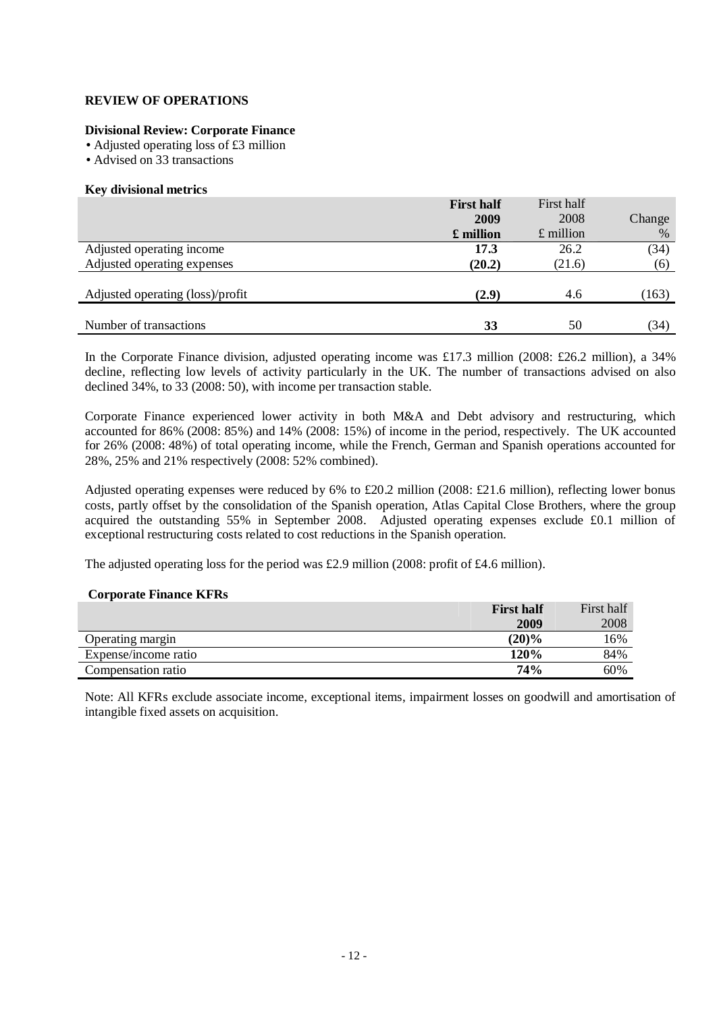### **Divisional Review: Corporate Finance**

- **·** Adjusted operating loss of £3 million
- **·** Advised on 33 transactions

#### **Key divisional metrics**

|                                  | <b>First half</b> | First half  |        |
|----------------------------------|-------------------|-------------|--------|
|                                  | 2009              | 2008        | Change |
|                                  | £ million         | $£$ million | %      |
| Adjusted operating income        | 17.3              | 26.2        | (34)   |
| Adjusted operating expenses      | (20.2)            | (21.6)      | (6)    |
|                                  |                   |             |        |
| Adjusted operating (loss)/profit | (2.9)             | 4.6         | (163)  |
|                                  |                   |             |        |
| Number of transactions           | 33                | 50          | (34)   |

In the Corporate Finance division, adjusted operating income was £17.3 million (2008: £26.2 million), a 34% decline, reflecting low levels of activity particularly in the UK. The number of transactions advised on also declined 34%, to 33 (2008: 50), with income per transaction stable.

Corporate Finance experienced lower activity in both M&A and Debt advisory and restructuring, which accounted for 86% (2008: 85%) and 14% (2008: 15%) of income in the period, respectively. The UK accounted for 26% (2008: 48%) of total operating income, while the French, German and Spanish operations accounted for 28%, 25% and 21% respectively (2008: 52% combined).

Adjusted operating expenses were reduced by 6% to £20.2 million (2008: £21.6 million), reflecting lower bonus costs, partly offset by the consolidation of the Spanish operation, Atlas Capital Close Brothers, where the group acquired the outstanding 55% in September 2008. Adjusted operating expenses exclude £0.1 million of exceptional restructuring costs related to cost reductions in the Spanish operation.

The adjusted operating loss for the period was £2.9 million (2008: profit of £4.6 million).

#### **Corporate Finance KFRs**

|                      | <b>First half</b> | First half |
|----------------------|-------------------|------------|
|                      | 2009              | 2008       |
| Operating margin     | $(20)\%$          | 16%        |
| Expense/income ratio | 120%              | 84%        |
| Compensation ratio   | <b>74%</b>        | 60%        |

Note: All KFRs exclude associate income, exceptional items, impairment losses on goodwill and amortisation of intangible fixed assets on acquisition.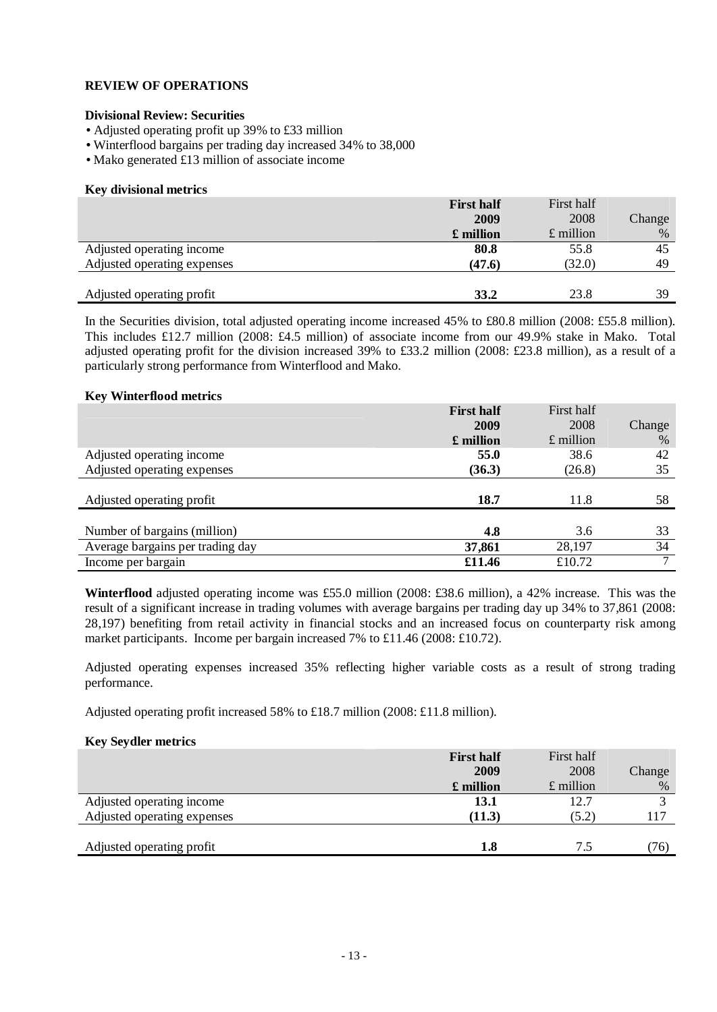#### **Divisional Review: Securities**

- **·** Adjusted operating profit up 39% to £33 million
- **·** Winterflood bargains per trading day increased 34% to 38,000
- **·** Mako generated £13 million of associate income

#### **Key divisional metrics**

|                             | <b>First half</b> | First half  |        |
|-----------------------------|-------------------|-------------|--------|
|                             | 2009              | 2008        | Change |
|                             | £ million         | $£$ million | $\%$   |
| Adjusted operating income   | 80.8              | 55.8        | 45     |
| Adjusted operating expenses | (47.6)            | (32.0)      | 49     |
|                             |                   |             |        |
| Adjusted operating profit   | 33.2              | 23.8        | 39     |

In the Securities division, total adjusted operating income increased 45% to £80.8 million (2008: £55.8 million). This includes £12.7 million (2008: £4.5 million) of associate income from our 49.9% stake in Mako. Total adjusted operating profit for the division increased 39% to £33.2 million (2008: £23.8 million), as a result of a particularly strong performance from Winterflood and Mako.

#### **Key Winterflood metrics**

|                                  | <b>First half</b> | First half        |               |
|----------------------------------|-------------------|-------------------|---------------|
|                                  | 2009              | 2008              | Change        |
|                                  | £ million         | $\pounds$ million | $\%$          |
| Adjusted operating income        | 55.0              | 38.6              | 42            |
| Adjusted operating expenses      | (36.3)            | (26.8)            | 35            |
|                                  |                   |                   |               |
| Adjusted operating profit        | 18.7              | 11.8              | 58            |
|                                  |                   |                   |               |
| Number of bargains (million)     | 4.8               | 3.6               | 33            |
| Average bargains per trading day | 37,861            | 28,197            | 34            |
| Income per bargain               |                   | £10.72            | $\mathcal{I}$ |

**Winterflood** adjusted operating income was £55.0 million (2008: £38.6 million), a 42% increase. This was the result of a significant increase in trading volumes with average bargains per trading day up 34% to 37,861 (2008: 28,197) benefiting from retail activity in financial stocks and an increased focus on counterparty risk among market participants. Income per bargain increased 7% to £11.46 (2008: £10.72).

Adjusted operating expenses increased 35% reflecting higher variable costs as a result of strong trading performance.

Adjusted operating profit increased 58% to £18.7 million (2008: £11.8 million).

#### **Key Seydler metrics**

|                             | <b>First half</b> | First half  |        |
|-----------------------------|-------------------|-------------|--------|
|                             | 2009              | 2008        | Change |
|                             | £ million         | $£$ million | %      |
| Adjusted operating income   | 13.1              | 12.7        |        |
| Adjusted operating expenses | (11.3)            | (5.2)       | 117    |
|                             |                   |             |        |
| Adjusted operating profit   | 1.8               | 7.5         | (76)   |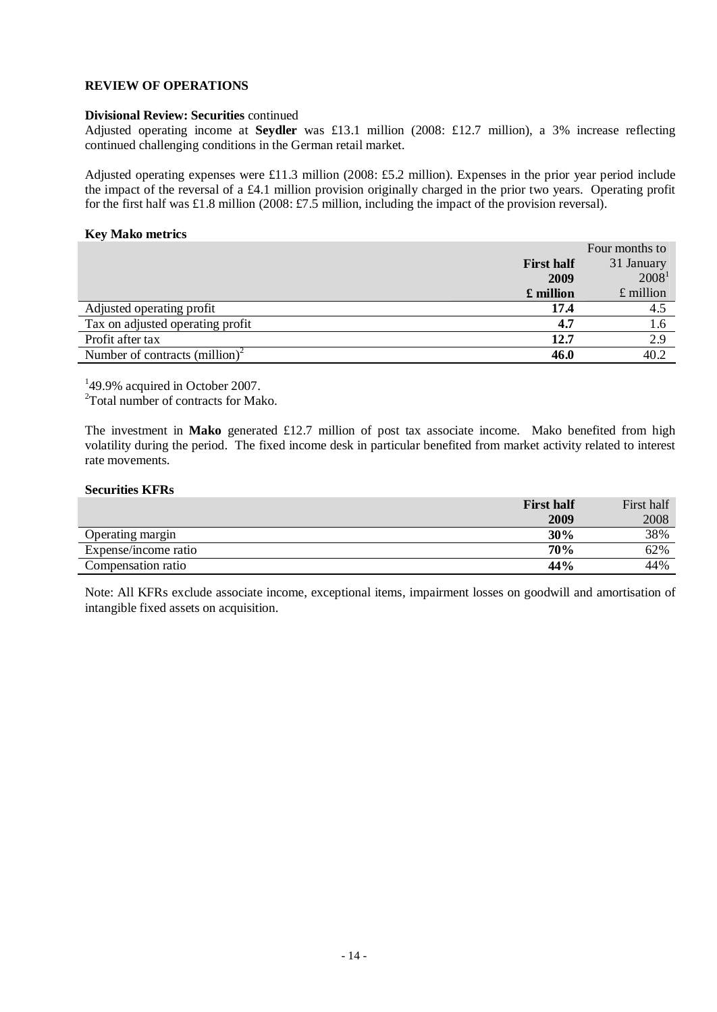#### **Divisional Review: Securities** continued

Adjusted operating income at **Seydler** was £13.1 million (2008: £12.7 million), a 3% increase reflecting continued challenging conditions in the German retail market.

Adjusted operating expenses were £11.3 million (2008: £5.2 million). Expenses in the prior year period include the impact of the reversal of a £4.1 million provision originally charged in the prior two years. Operating profit for the first half was £1.8 million (2008: £7.5 million, including the impact of the provision reversal).

#### **Key Mako metrics**

|                                            |                   | Four months to    |
|--------------------------------------------|-------------------|-------------------|
|                                            | <b>First half</b> | 31 January        |
|                                            | 2009              | 2008 <sup>1</sup> |
|                                            | £ million         | $£$ million       |
| Adjusted operating profit                  | 17.4              | 4.5               |
| Tax on adjusted operating profit           | 4.7               | 1.6               |
| Profit after tax                           | 12.7              | 2.9               |
| Number of contracts (million) <sup>2</sup> | 46.0              | 40.2              |

 $149.9\%$  acquired in October 2007.

<sup>2</sup>Total number of contracts for Mako.

The investment in **Mako** generated £12.7 million of post tax associate income. Mako benefited from high volatility during the period. The fixed income desk in particular benefited from market activity related to interest rate movements.

#### **Securities KFRs**

|                      | <b>First half</b> | First half |
|----------------------|-------------------|------------|
|                      | 2009              | 2008       |
| Operating margin     | 30%               | 38%        |
| Expense/income ratio | 70%               | 62%        |
| Compensation ratio   | 44%               | 44%        |

Note: All KFRs exclude associate income, exceptional items, impairment losses on goodwill and amortisation of intangible fixed assets on acquisition.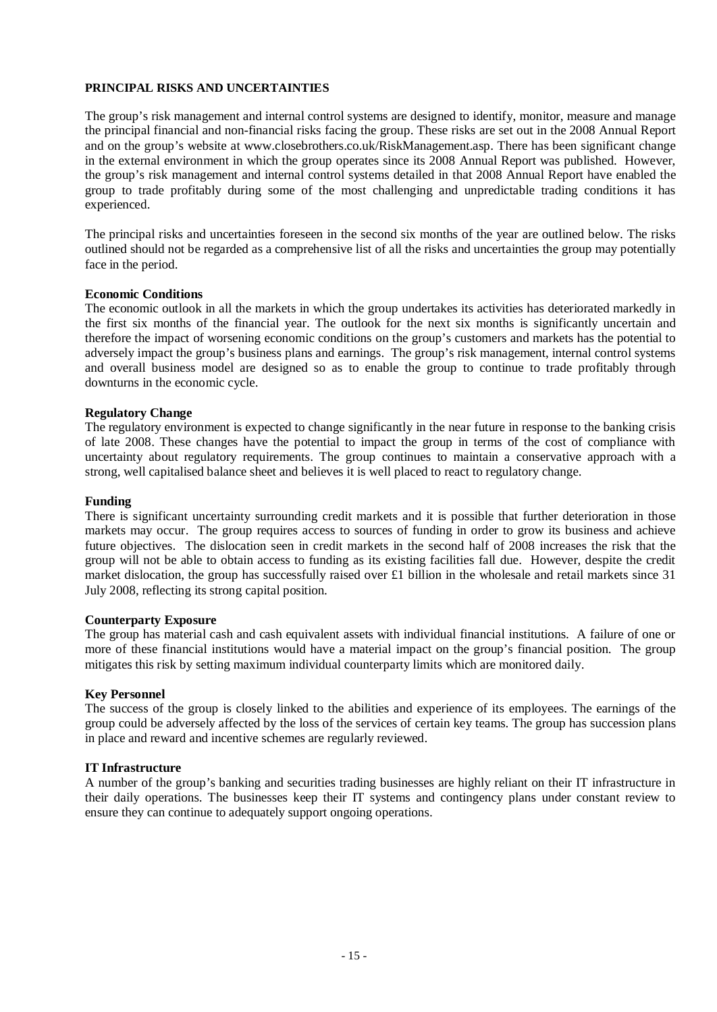### **PRINCIPAL RISKS AND UNCERTAINTIES**

The group's risk management and internal control systems are designed to identify, monitor, measure and manage the principal financial and non-financial risks facing the group. These risks are set out in the 2008 Annual Report and on the group's website at www.closebrothers.co.uk/RiskManagement.asp. There has been significant change in the external environment in which the group operates since its 2008 Annual Report was published. However, the group's risk management and internal control systems detailed in that 2008 Annual Report have enabled the group to trade profitably during some of the most challenging and unpredictable trading conditions it has experienced.

The principal risks and uncertainties foreseen in the second six months of the year are outlined below. The risks outlined should not be regarded as a comprehensive list of all the risks and uncertainties the group may potentially face in the period.

#### **Economic Conditions**

The economic outlook in all the markets in which the group undertakes its activities has deteriorated markedly in the first six months of the financial year. The outlook for the next six months is significantly uncertain and therefore the impact of worsening economic conditions on the group's customers and markets has the potential to adversely impact the group's business plans and earnings. The group's risk management, internal control systems and overall business model are designed so as to enable the group to continue to trade profitably through downturns in the economic cycle.

#### **Regulatory Change**

The regulatory environment is expected to change significantly in the near future in response to the banking crisis of late 2008. These changes have the potential to impact the group in terms of the cost of compliance with uncertainty about regulatory requirements. The group continues to maintain a conservative approach with a strong, well capitalised balance sheet and believes it is well placed to react to regulatory change.

#### **Funding**

There is significant uncertainty surrounding credit markets and it is possible that further deterioration in those markets may occur. The group requires access to sources of funding in order to grow its business and achieve future objectives. The dislocation seen in credit markets in the second half of 2008 increases the risk that the group will not be able to obtain access to funding as its existing facilities fall due. However, despite the credit market dislocation, the group has successfully raised over £1 billion in the wholesale and retail markets since 31 July 2008, reflecting its strong capital position.

#### **Counterparty Exposure**

The group has material cash and cash equivalent assets with individual financial institutions. A failure of one or more of these financial institutions would have a material impact on the group's financial position. The group mitigates this risk by setting maximum individual counterparty limits which are monitored daily.

#### **Key Personnel**

The success of the group is closely linked to the abilities and experience of its employees. The earnings of the group could be adversely affected by the loss of the services of certain key teams. The group has succession plans in place and reward and incentive schemes are regularly reviewed.

### **IT Infrastructure**

A number of the group's banking and securities trading businesses are highly reliant on their IT infrastructure in their daily operations. The businesses keep their IT systems and contingency plans under constant review to ensure they can continue to adequately support ongoing operations.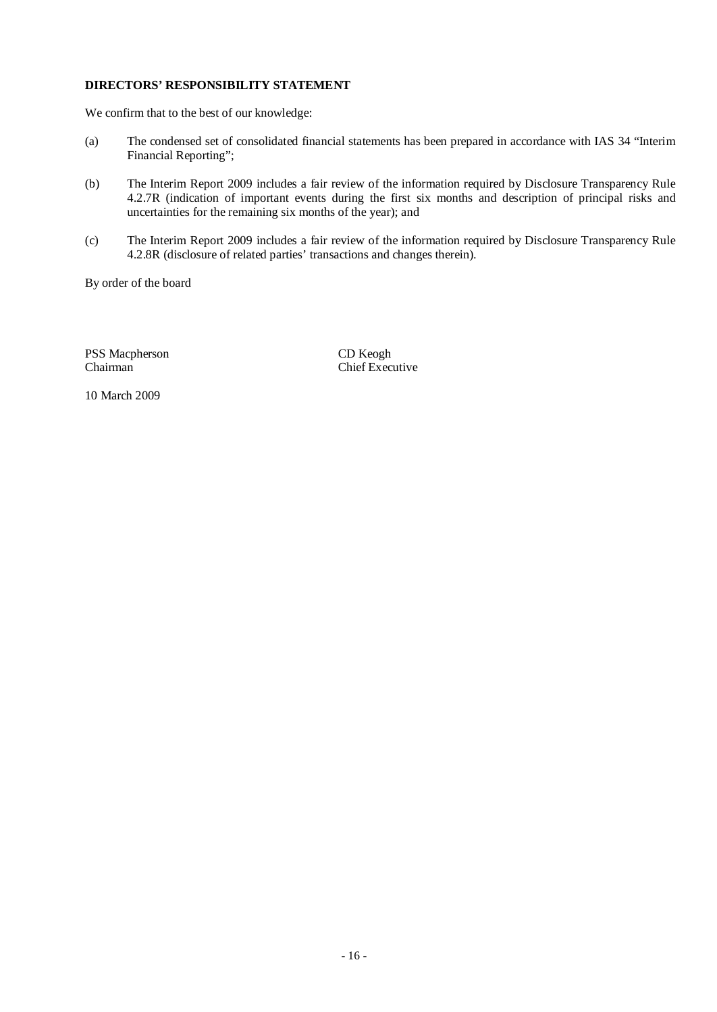# **DIRECTORS' RESPONSIBILITY STATEMENT**

We confirm that to the best of our knowledge:

- (a) The condensed set of consolidated financial statements has been prepared in accordance with IAS 34 "Interim Financial Reporting";
- (b) The Interim Report 2009 includes a fair review of the information required by Disclosure Transparency Rule 4.2.7R (indication of important events during the first six months and description of principal risks and uncertainties for the remaining six months of the year); and
- (c) The Interim Report 2009 includes a fair review of the information required by Disclosure Transparency Rule 4.2.8R (disclosure of related parties' transactions and changes therein).

By order of the board

PSS Macpherson CD Keogh<br>Chairman Chef Exec

Chief Executive

10 March 2009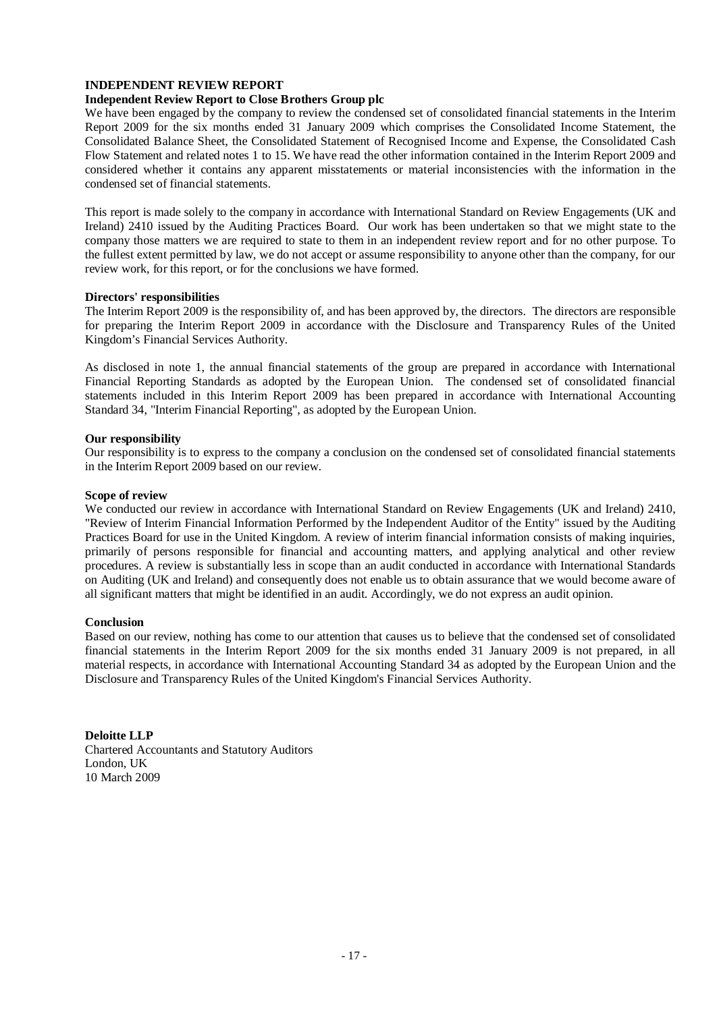### **INDEPENDENT REVIEW REPORT**

# **Independent Review Report to Close Brothers Group plc**

We have been engaged by the company to review the condensed set of consolidated financial statements in the Interim Report 2009 for the six months ended 31 January 2009 which comprises the Consolidated Income Statement, the Consolidated Balance Sheet, the Consolidated Statement of Recognised Income and Expense, the Consolidated Cash Flow Statement and related notes 1 to 15. We have read the other information contained in the Interim Report 2009 and considered whether it contains any apparent misstatements or material inconsistencies with the information in the condensed set of financial statements.

This report is made solely to the company in accordance with International Standard on Review Engagements (UK and Ireland) 2410 issued by the Auditing Practices Board. Our work has been undertaken so that we might state to the company those matters we are required to state to them in an independent review report and for no other purpose. To the fullest extent permitted by law, we do not accept or assume responsibility to anyone other than the company, for our review work, for this report, or for the conclusions we have formed.

#### **Directors' responsibilities**

The Interim Report 2009 is the responsibility of, and has been approved by, the directors. The directors are responsible for preparing the Interim Report 2009 in accordance with the Disclosure and Transparency Rules of the United Kingdom's Financial Services Authority.

As disclosed in note 1, the annual financial statements of the group are prepared in accordance with International Financial Reporting Standards as adopted by the European Union. The condensed set of consolidated financial statements included in this Interim Report 2009 has been prepared in accordance with International Accounting Standard 34, "Interim Financial Reporting", as adopted by the European Union.

#### **Our responsibility**

Our responsibility is to express to the company a conclusion on the condensed set of consolidated financial statements in the Interim Report 2009 based on our review.

#### **Scope of review**

We conducted our review in accordance with International Standard on Review Engagements (UK and Ireland) 2410, "Review of Interim Financial Information Performed by the Independent Auditor of the Entity" issued by the Auditing Practices Board for use in the United Kingdom. A review of interim financial information consists of making inquiries, primarily of persons responsible for financial and accounting matters, and applying analytical and other review procedures. A review is substantially less in scope than an audit conducted in accordance with International Standards on Auditing (UK and Ireland) and consequently does not enable us to obtain assurance that we would become aware of all significant matters that might be identified in an audit. Accordingly, we do not express an audit opinion.

#### **Conclusion**

Based on our review, nothing has come to our attention that causes us to believe that the condensed set of consolidated financial statements in the Interim Report 2009 for the six months ended 31 January 2009 is not prepared, in all material respects, in accordance with International Accounting Standard 34 as adopted by the European Union and the Disclosure and Transparency Rules of the United Kingdom's Financial Services Authority.

**Deloitte LLP**  Chartered Accountants and Statutory Auditors London, UK 10 March 2009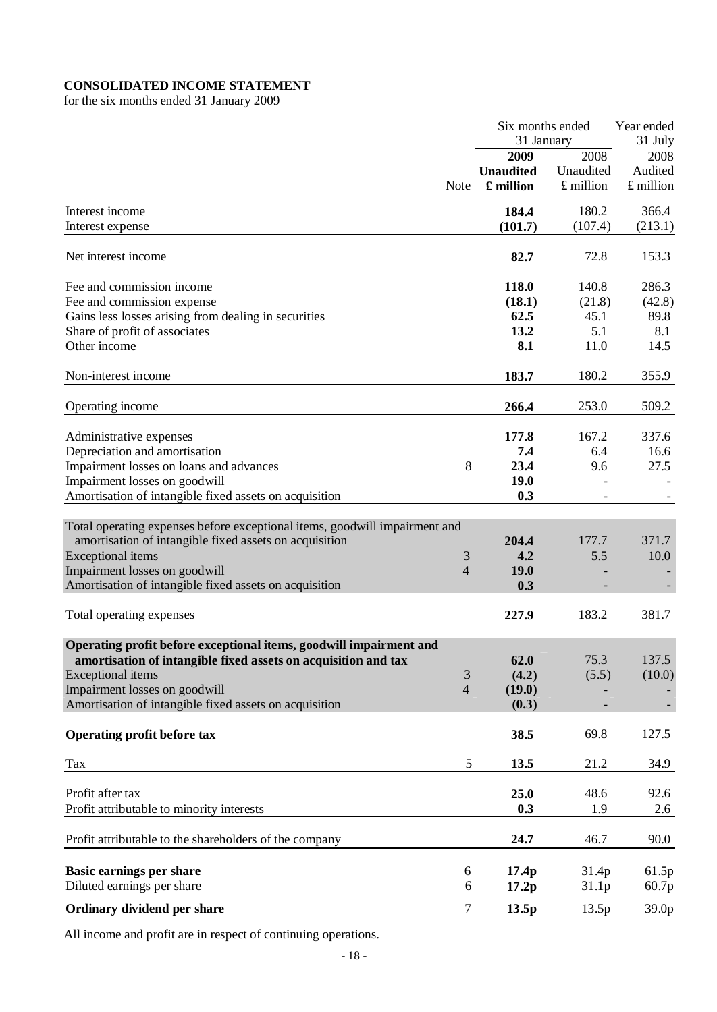# **CONSOLIDATED INCOME STATEMENT**

for the six months ended 31 January 2009

|                                                                            |                |                  | Six months ended | Year ended |
|----------------------------------------------------------------------------|----------------|------------------|------------------|------------|
|                                                                            |                | 31 January       |                  | 31 July    |
|                                                                            |                | 2009             | 2008             | 2008       |
|                                                                            |                | <b>Unaudited</b> | Unaudited        | Audited    |
|                                                                            | <b>Note</b>    | £ million        | £ million        | £ million  |
| Interest income                                                            |                | 184.4            | 180.2            | 366.4      |
| Interest expense                                                           |                | (101.7)          | (107.4)          | (213.1)    |
|                                                                            |                |                  |                  |            |
| Net interest income                                                        |                | 82.7             | 72.8             | 153.3      |
| Fee and commission income                                                  |                | 118.0            | 140.8            | 286.3      |
| Fee and commission expense                                                 |                | (18.1)           | (21.8)           | (42.8)     |
| Gains less losses arising from dealing in securities                       |                | 62.5             | 45.1             | 89.8       |
| Share of profit of associates                                              |                | 13.2             | 5.1              | 8.1        |
| Other income                                                               |                | 8.1              | 11.0             | 14.5       |
|                                                                            |                |                  |                  |            |
| Non-interest income                                                        |                | 183.7            | 180.2            | 355.9      |
| Operating income                                                           |                | 266.4            | 253.0            | 509.2      |
|                                                                            |                |                  |                  |            |
| Administrative expenses                                                    |                | 177.8            | 167.2            | 337.6      |
| Depreciation and amortisation                                              |                | 7.4              | 6.4              | 16.6       |
| Impairment losses on loans and advances                                    | 8              | 23.4             | 9.6              | 27.5       |
| Impairment losses on goodwill                                              |                | 19.0             |                  |            |
| Amortisation of intangible fixed assets on acquisition                     |                | 0.3              |                  |            |
|                                                                            |                |                  |                  |            |
| Total operating expenses before exceptional items, goodwill impairment and |                |                  |                  |            |
| amortisation of intangible fixed assets on acquisition                     |                | 204.4            | 177.7            | 371.7      |
| Exceptional items                                                          | 3              | 4.2              | 5.5              | 10.0       |
| Impairment losses on goodwill                                              | 4              | 19.0             |                  |            |
| Amortisation of intangible fixed assets on acquisition                     |                | 0.3              |                  |            |
| Total operating expenses                                                   |                | 227.9            | 183.2            | 381.7      |
| Operating profit before exceptional items, goodwill impairment and         |                |                  |                  |            |
| amortisation of intangible fixed assets on acquisition and tax             |                | 62.0             | 75.3             | 137.5      |
| Exceptional items                                                          | $\mathfrak{Z}$ | (4.2)            | (5.5)            | (10.0)     |
| Impairment losses on goodwill                                              | 4              | (19.0)           |                  |            |
| Amortisation of intangible fixed assets on acquisition                     |                | (0.3)            |                  |            |
| Operating profit before tax                                                |                | 38.5             | 69.8             | 127.5      |
|                                                                            |                |                  |                  |            |
| Tax                                                                        | $\mathfrak s$  | 13.5             | 21.2             | 34.9       |
| Profit after tax                                                           |                | 25.0             | 48.6             | 92.6       |
| Profit attributable to minority interests                                  |                | 0.3              | 1.9              | 2.6        |
|                                                                            |                |                  |                  |            |
| Profit attributable to the shareholders of the company                     |                | 24.7             | 46.7             | 90.0       |
| <b>Basic earnings per share</b>                                            | 6              | 17.4p            | 31.4p            | 61.5p      |
| Diluted earnings per share                                                 | 6              | 17.2p            | 31.1p            | 60.7p      |
|                                                                            |                |                  |                  |            |
| Ordinary dividend per share                                                | 7              | 13.5p            | 13.5p            | 39.0p      |

All income and profit are in respect of continuing operations.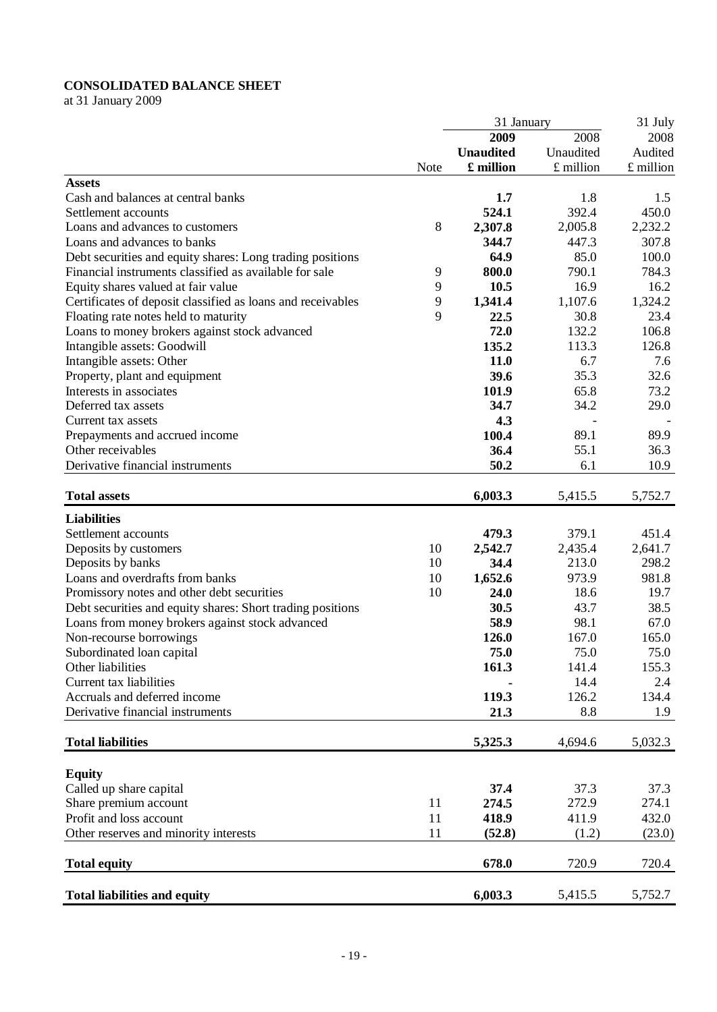# **CONSOLIDATED BALANCE SHEET**

at 31 January 2009

|                                                             |      | 31 January       |           | 31 July   |
|-------------------------------------------------------------|------|------------------|-----------|-----------|
|                                                             |      | 2009             | 2008      | 2008      |
|                                                             |      | <b>Unaudited</b> | Unaudited | Audited   |
|                                                             | Note | £ million        | £ million | £ million |
| <b>Assets</b>                                               |      |                  |           |           |
| Cash and balances at central banks                          |      | 1.7              | 1.8       | 1.5       |
| Settlement accounts                                         |      | 524.1            | 392.4     | 450.0     |
| Loans and advances to customers                             | 8    | 2,307.8          | 2,005.8   | 2,232.2   |
| Loans and advances to banks                                 |      | 344.7            | 447.3     | 307.8     |
| Debt securities and equity shares: Long trading positions   |      | 64.9             | 85.0      | 100.0     |
|                                                             |      |                  |           |           |
| Financial instruments classified as available for sale      | 9    | 800.0            | 790.1     | 784.3     |
| Equity shares valued at fair value                          | 9    | 10.5             | 16.9      | 16.2      |
| Certificates of deposit classified as loans and receivables | 9    | 1,341.4          | 1,107.6   | 1,324.2   |
| Floating rate notes held to maturity                        | 9    | 22.5             | 30.8      | 23.4      |
| Loans to money brokers against stock advanced               |      | 72.0             | 132.2     | 106.8     |
| Intangible assets: Goodwill                                 |      | 135.2            | 113.3     | 126.8     |
| Intangible assets: Other                                    |      | 11.0             | 6.7       | 7.6       |
| Property, plant and equipment                               |      | 39.6             | 35.3      | 32.6      |
| Interests in associates                                     |      | 101.9            | 65.8      | 73.2      |
| Deferred tax assets                                         |      | 34.7             | 34.2      | 29.0      |
| Current tax assets                                          |      | 4.3              |           |           |
| Prepayments and accrued income                              |      | 100.4            | 89.1      | 89.9      |
| Other receivables                                           |      | 36.4             | 55.1      | 36.3      |
| Derivative financial instruments                            |      | 50.2             | 6.1       | 10.9      |
|                                                             |      |                  |           |           |
| <b>Total assets</b>                                         |      | 6,003.3          | 5,415.5   | 5,752.7   |
| <b>Liabilities</b>                                          |      |                  |           |           |
| Settlement accounts                                         |      | 479.3            | 379.1     | 451.4     |
| Deposits by customers                                       | 10   | 2,542.7          | 2,435.4   | 2,641.7   |
| Deposits by banks                                           | 10   | 34.4             | 213.0     | 298.2     |
| Loans and overdrafts from banks                             | 10   | 1,652.6          | 973.9     | 981.8     |
| Promissory notes and other debt securities                  | 10   | 24.0             | 18.6      | 19.7      |
|                                                             |      | 30.5             | 43.7      | 38.5      |
| Debt securities and equity shares: Short trading positions  |      |                  |           |           |
| Loans from money brokers against stock advanced             |      | 58.9             | 98.1      | 67.0      |
| Non-recourse borrowings                                     |      | 126.0            | 167.0     | 165.0     |
| Subordinated loan capital                                   |      | 75.0             | 75.0      | 75.0      |
| Other liabilities                                           |      | 161.3            | 141.4     | 155.3     |
| Current tax liabilities                                     |      |                  | 14.4      | 2.4       |
| Accruals and deferred income                                |      | 119.3            | 126.2     | 134.4     |
| Derivative financial instruments                            |      | 21.3             | 8.8       | 1.9       |
| <b>Total liabilities</b>                                    |      | 5,325.3          | 4,694.6   | 5,032.3   |
|                                                             |      |                  |           |           |
| <b>Equity</b>                                               |      |                  |           |           |
|                                                             |      |                  |           |           |
| Called up share capital                                     |      | 37.4             | 37.3      | 37.3      |
| Share premium account                                       | 11   | 274.5            | 272.9     | 274.1     |
| Profit and loss account                                     | 11   | 418.9            | 411.9     | 432.0     |
| Other reserves and minority interests                       | 11   | (52.8)           | (1.2)     | (23.0)    |
| <b>Total equity</b>                                         |      | 678.0            | 720.9     | 720.4     |
| <b>Total liabilities and equity</b>                         |      | 6,003.3          | 5,415.5   | 5,752.7   |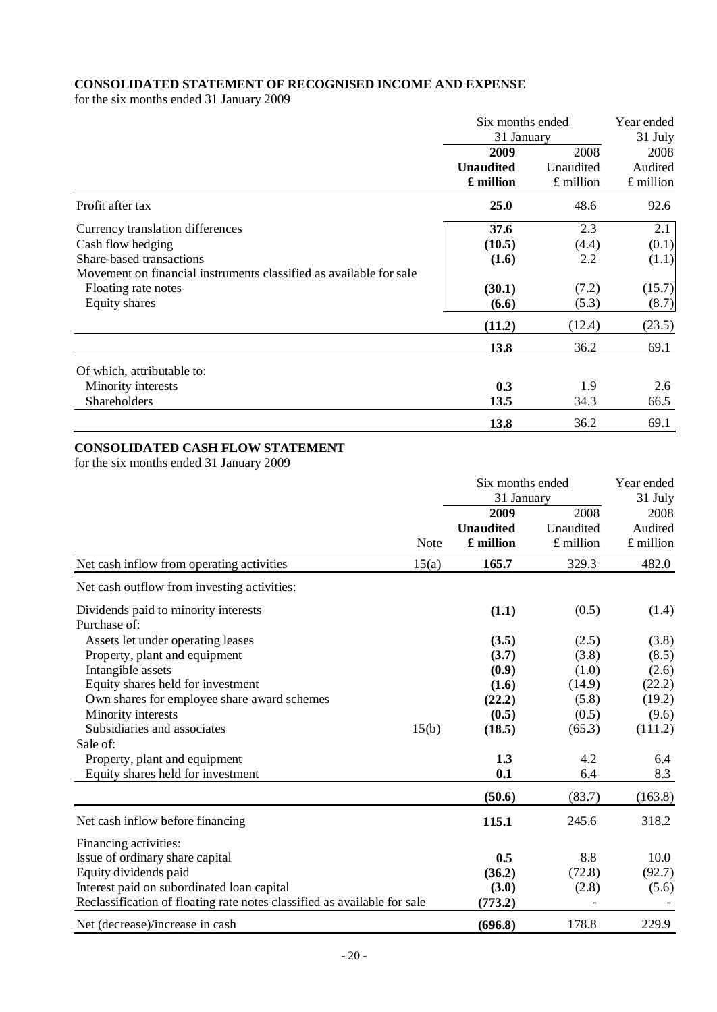# **CONSOLIDATED STATEMENT OF RECOGNISED INCOME AND EXPENSE**

for the six months ended 31 January 2009

|                                                                    | Six months ended | Year ended |           |  |
|--------------------------------------------------------------------|------------------|------------|-----------|--|
|                                                                    | 31 January       |            | 31 July   |  |
|                                                                    | 2009             | 2008       | 2008      |  |
|                                                                    | <b>Unaudited</b> | Unaudited  | Audited   |  |
|                                                                    | £ million        | £ million  | £ million |  |
| Profit after tax                                                   | <b>25.0</b>      | 48.6       | 92.6      |  |
| Currency translation differences                                   | 37.6             | 2.3        | 2.1       |  |
| Cash flow hedging                                                  | (10.5)           | (4.4)      | (0.1)     |  |
| Share-based transactions                                           | (1.6)            | 2.2        | (1.1)     |  |
| Movement on financial instruments classified as available for sale |                  |            |           |  |
| Floating rate notes                                                | (30.1)           | (7.2)      | (15.7)    |  |
| Equity shares                                                      | (6.6)            | (5.3)      | (8.7)     |  |
|                                                                    | (11.2)           | (12.4)     | (23.5)    |  |
|                                                                    | 13.8             | 36.2       | 69.1      |  |
| Of which, attributable to:                                         |                  |            |           |  |
| Minority interests                                                 | 0.3              | 1.9        | 2.6       |  |
| <b>Shareholders</b>                                                | 13.5             | 34.3       | 66.5      |  |
|                                                                    | 13.8             | 36.2       | 69.1      |  |

### **CONSOLIDATED CASH FLOW STATEMENT**

for the six months ended 31 January 2009

|                                                                          |             | Six months ended<br>31 January        |                                | Year ended<br>31 July          |
|--------------------------------------------------------------------------|-------------|---------------------------------------|--------------------------------|--------------------------------|
|                                                                          | <b>Note</b> | 2009<br><b>Unaudited</b><br>£ million | 2008<br>Unaudited<br>£ million | 2008<br>Audited<br>$£$ million |
| Net cash inflow from operating activities                                | 15(a)       | 165.7                                 | 329.3                          | 482.0                          |
| Net cash outflow from investing activities:                              |             |                                       |                                |                                |
| Dividends paid to minority interests<br>Purchase of:                     |             | (1.1)                                 | (0.5)                          | (1.4)                          |
| Assets let under operating leases                                        |             | (3.5)                                 | (2.5)                          | (3.8)                          |
| Property, plant and equipment                                            |             | (3.7)                                 | (3.8)                          | (8.5)                          |
| Intangible assets                                                        |             | (0.9)                                 | (1.0)                          | (2.6)                          |
| Equity shares held for investment                                        |             | (1.6)                                 | (14.9)                         | (22.2)                         |
| Own shares for employee share award schemes                              |             | (22.2)                                | (5.8)                          | (19.2)                         |
| Minority interests                                                       |             | (0.5)                                 | (0.5)                          | (9.6)                          |
| Subsidiaries and associates                                              | 15(b)       | (18.5)                                | (65.3)                         | (111.2)                        |
| Sale of:                                                                 |             |                                       |                                |                                |
| Property, plant and equipment                                            |             | 1.3                                   | 4.2                            | 6.4                            |
| Equity shares held for investment                                        |             | 0.1                                   | 6.4                            | 8.3                            |
|                                                                          |             | (50.6)                                | (83.7)                         | (163.8)                        |
| Net cash inflow before financing                                         |             | 115.1                                 | 245.6                          | 318.2                          |
| Financing activities:                                                    |             |                                       |                                |                                |
| Issue of ordinary share capital                                          |             | 0.5                                   | 8.8                            | 10.0                           |
| Equity dividends paid                                                    |             | (36.2)                                | (72.8)                         | (92.7)                         |
| Interest paid on subordinated loan capital                               |             | (3.0)                                 | (2.8)                          | (5.6)                          |
| Reclassification of floating rate notes classified as available for sale |             | (773.2)                               |                                |                                |
| Net (decrease)/increase in cash                                          |             | (696.8)                               | 178.8                          | 229.9                          |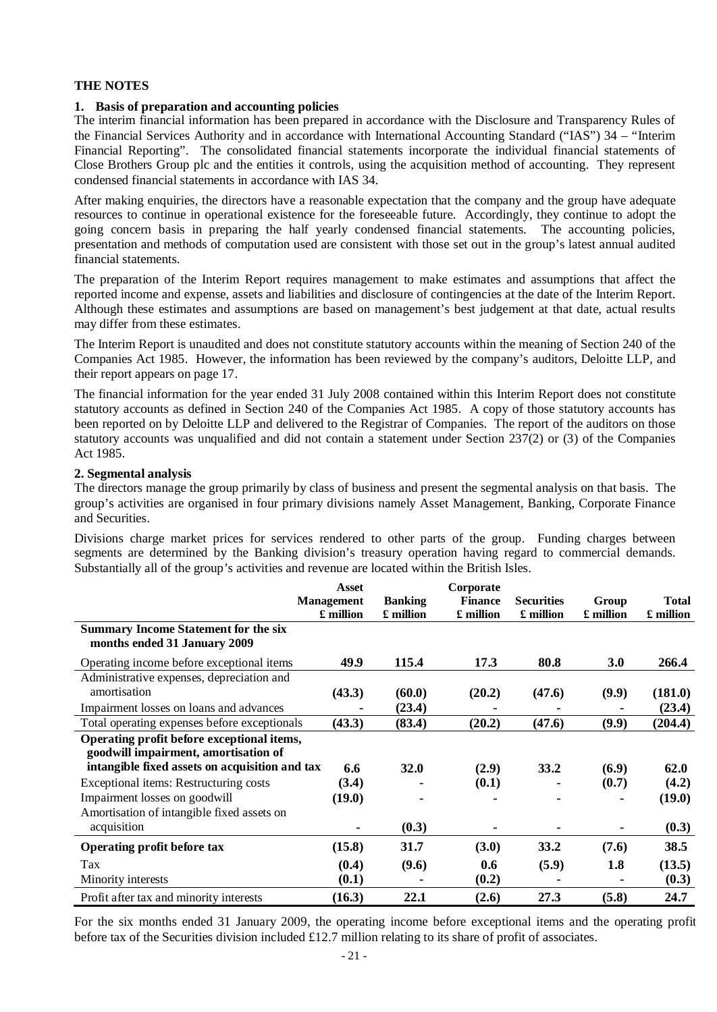#### **1. Basis of preparation and accounting policies**

The interim financial information has been prepared in accordance with the Disclosure and Transparency Rules of the Financial Services Authority and in accordance with International Accounting Standard ("IAS") 34 – "Interim Financial Reporting". The consolidated financial statements incorporate the individual financial statements of Close Brothers Group plc and the entities it controls, using the acquisition method of accounting. They represent condensed financial statements in accordance with IAS 34.

After making enquiries, the directors have a reasonable expectation that the company and the group have adequate resources to continue in operational existence for the foreseeable future. Accordingly, they continue to adopt the going concern basis in preparing the half yearly condensed financial statements. The accounting policies, presentation and methods of computation used are consistent with those set out in the group's latest annual audited financial statements.

The preparation of the Interim Report requires management to make estimates and assumptions that affect the reported income and expense, assets and liabilities and disclosure of contingencies at the date of the Interim Report. Although these estimates and assumptions are based on management's best judgement at that date, actual results may differ from these estimates.

The Interim Report is unaudited and does not constitute statutory accounts within the meaning of Section 240 of the Companies Act 1985. However, the information has been reviewed by the company's auditors, Deloitte LLP, and their report appears on page 17.

The financial information for the year ended 31 July 2008 contained within this Interim Report does not constitute statutory accounts as defined in Section 240 of the Companies Act 1985. A copy of those statutory accounts has been reported on by Deloitte LLP and delivered to the Registrar of Companies. The report of the auditors on those statutory accounts was unqualified and did not contain a statement under Section 237(2) or (3) of the Companies Act 1985.

### **2. Segmental analysis**

The directors manage the group primarily by class of business and present the segmental analysis on that basis. The group's activities are organised in four primary divisions namely Asset Management, Banking, Corporate Finance and Securities.

Divisions charge market prices for services rendered to other parts of the group. Funding charges between segments are determined by the Banking division's treasury operation having regard to commercial demands. Substantially all of the group's activities and revenue are located within the British Isles.

|                                                                                    | <b>Asset</b><br><b>Management</b><br>£ million | <b>Banking</b><br>£ million | Corporate<br><b>Finance</b><br>£ million | <b>Securities</b><br>£ million | Group<br>£ million | <b>Total</b><br>£ million |
|------------------------------------------------------------------------------------|------------------------------------------------|-----------------------------|------------------------------------------|--------------------------------|--------------------|---------------------------|
| <b>Summary Income Statement for the six</b><br>months ended 31 January 2009        |                                                |                             |                                          |                                |                    |                           |
| Operating income before exceptional items                                          | 49.9                                           | 115.4                       | 17.3                                     | 80.8                           | 3.0                | 266.4                     |
| Administrative expenses, depreciation and                                          |                                                |                             |                                          |                                |                    |                           |
| amortisation                                                                       | (43.3)                                         | (60.0)                      | (20.2)                                   | (47.6)                         | (9.9)              | (181.0)                   |
| Impairment losses on loans and advances                                            |                                                | (23.4)                      |                                          |                                |                    | (23.4)                    |
| Total operating expenses before exceptionals                                       | (43.3)                                         | (83.4)                      | (20.2)                                   | (47.6)                         | (9.9)              | (204.4)                   |
| Operating profit before exceptional items,<br>goodwill impairment, amortisation of |                                                |                             |                                          |                                |                    |                           |
| intangible fixed assets on acquisition and tax                                     | 6.6                                            | <b>32.0</b>                 | (2.9)                                    | 33.2                           | (6.9)              | 62.0                      |
| Exceptional items: Restructuring costs                                             | (3.4)                                          |                             | (0.1)                                    |                                | (0.7)              | (4.2)                     |
| Impairment losses on goodwill                                                      | (19.0)                                         |                             |                                          |                                |                    | (19.0)                    |
| Amortisation of intangible fixed assets on                                         |                                                |                             |                                          |                                |                    |                           |
| acquisition                                                                        |                                                | (0.3)                       | $\blacksquare$                           |                                |                    | (0.3)                     |
| Operating profit before tax                                                        | (15.8)                                         | 31.7                        | (3.0)                                    | 33.2                           | (7.6)              | 38.5                      |
| Tax                                                                                | (0.4)                                          | (9.6)                       | 0.6                                      | (5.9)                          | 1.8                | (13.5)                    |
| Minority interests                                                                 | (0.1)                                          |                             | (0.2)                                    |                                |                    | (0.3)                     |
| Profit after tax and minority interests                                            | (16.3)                                         | 22.1                        | (2.6)                                    | 27.3                           | (5.8)              | 24.7                      |

For the six months ended 31 January 2009, the operating income before exceptional items and the operating profit before tax of the Securities division included £12.7 million relating to its share of profit of associates.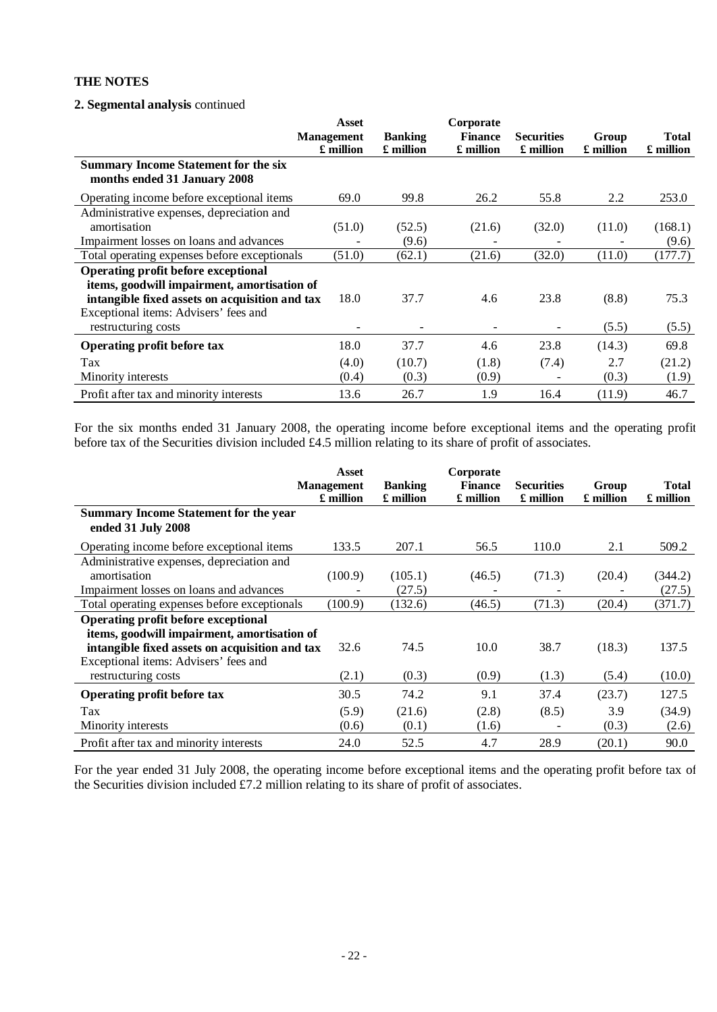### **2. Segmental analysis** continued

|                                                | Asset             |                | Corporate      |                   |           |              |
|------------------------------------------------|-------------------|----------------|----------------|-------------------|-----------|--------------|
|                                                | <b>Management</b> | <b>Banking</b> | <b>Finance</b> | <b>Securities</b> | Group     | <b>Total</b> |
|                                                | £ million         | £ million      | £ million      | £ million         | £ million | £ million    |
| <b>Summary Income Statement for the six</b>    |                   |                |                |                   |           |              |
| months ended 31 January 2008                   |                   |                |                |                   |           |              |
| Operating income before exceptional items      | 69.0              | 99.8           | 26.2           | 55.8              | 2.2       | 253.0        |
| Administrative expenses, depreciation and      |                   |                |                |                   |           |              |
| amortisation                                   | (51.0)            | (52.5)         | (21.6)         | (32.0)            | (11.0)    | (168.1)      |
| Impairment losses on loans and advances        |                   | (9.6)          |                |                   |           | (9.6)        |
| Total operating expenses before exceptionals   | (51.0)            | (62.1)         | (21.6)         | (32.0)            | (11.0)    | (177.7)      |
| Operating profit before exceptional            |                   |                |                |                   |           |              |
| items, goodwill impairment, amortisation of    |                   |                |                |                   |           |              |
| intangible fixed assets on acquisition and tax | 18.0              | 37.7           | 4.6            | 23.8              | (8.8)     | 75.3         |
| Exceptional items: Advisers' fees and          |                   |                |                |                   |           |              |
| restructuring costs                            |                   |                |                |                   | (5.5)     | (5.5)        |
| Operating profit before tax                    | 18.0              | 37.7           | 4.6            | 23.8              | (14.3)    | 69.8         |
| Tax                                            | (4.0)             | (10.7)         | (1.8)          | (7.4)             | 2.7       | (21.2)       |
| Minority interests                             | (0.4)             | (0.3)          | (0.9)          |                   | (0.3)     | (1.9)        |
| Profit after tax and minority interests        | 13.6              | 26.7           | 1.9            | 16.4              | (11.9)    | 46.7         |

For the six months ended 31 January 2008, the operating income before exceptional items and the operating profit before tax of the Securities division included £4.5 million relating to its share of profit of associates.

|                                                | Asset             |                | Corporate      |                   |           |              |
|------------------------------------------------|-------------------|----------------|----------------|-------------------|-----------|--------------|
|                                                | <b>Management</b> | <b>Banking</b> | <b>Finance</b> | <b>Securities</b> | Group     | <b>Total</b> |
|                                                | £ million         | £ million      | £ million      | £ million         | £ million | £ million    |
| <b>Summary Income Statement for the year</b>   |                   |                |                |                   |           |              |
| ended 31 July 2008                             |                   |                |                |                   |           |              |
| Operating income before exceptional items      | 133.5             | 207.1          | 56.5           | 110.0             | 2.1       | 509.2        |
| Administrative expenses, depreciation and      |                   |                |                |                   |           |              |
| amortisation                                   | (100.9)           | (105.1)        | (46.5)         | (71.3)            | (20.4)    | (344.2)      |
| Impairment losses on loans and advances        |                   | (27.5)         |                |                   |           | (27.5)       |
| Total operating expenses before exceptionals   | (100.9)           | (132.6)        | (46.5)         | (71.3)            | (20.4)    | (371.7)      |
| <b>Operating profit before exceptional</b>     |                   |                |                |                   |           |              |
| items, goodwill impairment, amortisation of    |                   |                |                |                   |           |              |
| intangible fixed assets on acquisition and tax | 32.6              | 74.5           | 10.0           | 38.7              | (18.3)    | 137.5        |
| Exceptional items: Advisers' fees and          |                   |                |                |                   |           |              |
| restructuring costs                            | (2.1)             | (0.3)          | (0.9)          | (1.3)             | (5.4)     | (10.0)       |
| <b>Operating profit before tax</b>             | 30.5              | 74.2           | 9.1            | 37.4              | (23.7)    | 127.5        |
| Tax                                            | (5.9)             | (21.6)         | (2.8)          | (8.5)             | 3.9       | (34.9)       |
| Minority interests                             | (0.6)             | (0.1)          | (1.6)          |                   | (0.3)     | (2.6)        |
| Profit after tax and minority interests        | 24.0              | 52.5           | 4.7            | 28.9              | (20.1)    | 90.0         |

For the year ended 31 July 2008, the operating income before exceptional items and the operating profit before tax of the Securities division included £7.2 million relating to its share of profit of associates.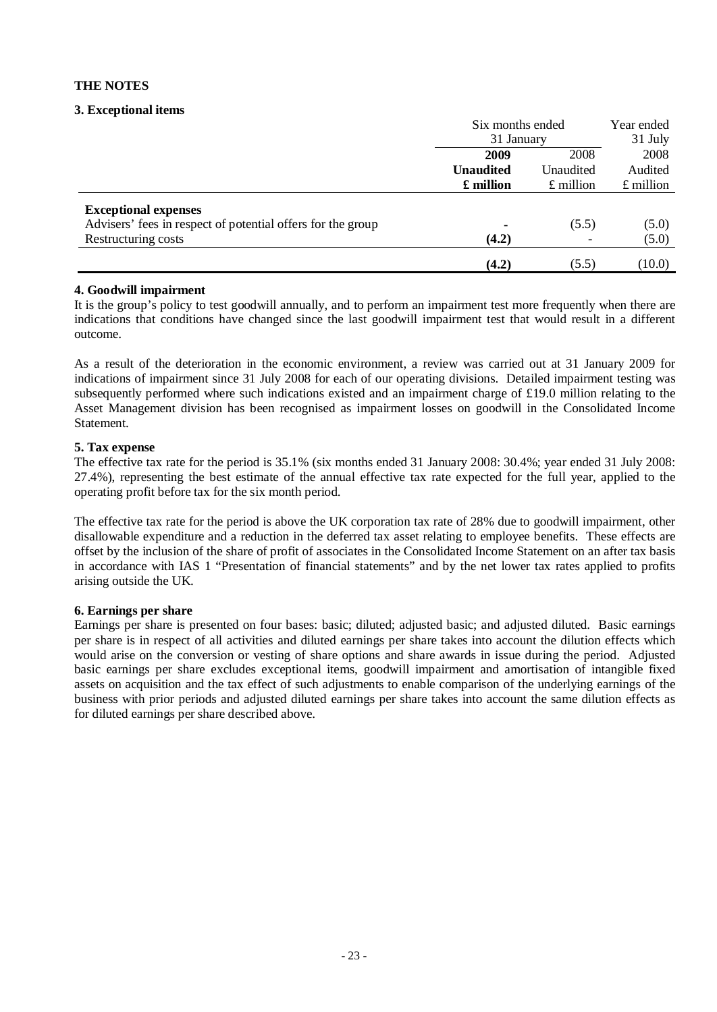# **3. Exceptional items**

|                                                             | Six months ended<br>31 January |                   | Year ended  |  |
|-------------------------------------------------------------|--------------------------------|-------------------|-------------|--|
|                                                             |                                |                   | 31 July     |  |
|                                                             | 2009<br>2008                   |                   | 2008        |  |
|                                                             | <b>Unaudited</b>               | Unaudited         | Audited     |  |
|                                                             | £ million                      | $\pounds$ million | $£$ million |  |
| <b>Exceptional expenses</b>                                 |                                |                   |             |  |
| Advisers' fees in respect of potential offers for the group |                                | (5.5)             | (5.0)       |  |
| Restructuring costs                                         | (4.2)                          |                   | (5.0)       |  |
|                                                             | (4.2)                          | (5.5)             | (10.0)      |  |

### **4. Goodwill impairment**

It is the group's policy to test goodwill annually, and to perform an impairment test more frequently when there are indications that conditions have changed since the last goodwill impairment test that would result in a different outcome.

As a result of the deterioration in the economic environment, a review was carried out at 31 January 2009 for indications of impairment since 31 July 2008 for each of our operating divisions. Detailed impairment testing was subsequently performed where such indications existed and an impairment charge of £19.0 million relating to the Asset Management division has been recognised as impairment losses on goodwill in the Consolidated Income Statement.

# **5. Tax expense**

The effective tax rate for the period is 35.1% (six months ended 31 January 2008: 30.4%; year ended 31 July 2008: 27.4%), representing the best estimate of the annual effective tax rate expected for the full year, applied to the operating profit before tax for the six month period.

The effective tax rate for the period is above the UK corporation tax rate of 28% due to goodwill impairment, other disallowable expenditure and a reduction in the deferred tax asset relating to employee benefits. These effects are offset by the inclusion of the share of profit of associates in the Consolidated Income Statement on an after tax basis in accordance with IAS 1 "Presentation of financial statements" and by the net lower tax rates applied to profits arising outside the UK.

### **6. Earnings per share**

Earnings per share is presented on four bases: basic; diluted; adjusted basic; and adjusted diluted. Basic earnings per share is in respect of all activities and diluted earnings per share takes into account the dilution effects which would arise on the conversion or vesting of share options and share awards in issue during the period. Adjusted basic earnings per share excludes exceptional items, goodwill impairment and amortisation of intangible fixed assets on acquisition and the tax effect of such adjustments to enable comparison of the underlying earnings of the business with prior periods and adjusted diluted earnings per share takes into account the same dilution effects as for diluted earnings per share described above.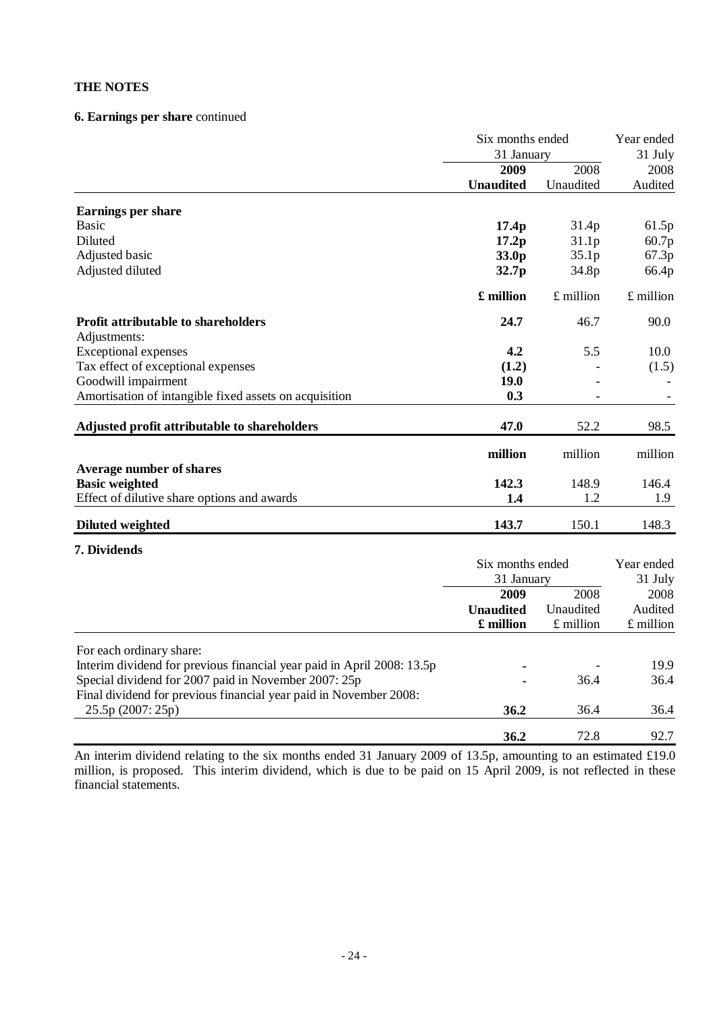# **6. Earnings per share** continued

|                                                                        | Six months ended  |             | Year ended<br>31 July |  |
|------------------------------------------------------------------------|-------------------|-------------|-----------------------|--|
|                                                                        |                   | 31 January  |                       |  |
|                                                                        | 2009              | 2008        | 2008                  |  |
|                                                                        | <b>Unaudited</b>  | Unaudited   | Audited               |  |
| <b>Earnings per share</b>                                              |                   |             |                       |  |
| <b>Basic</b>                                                           | 17.4 <sub>p</sub> | 31.4p       | 61.5p                 |  |
| Diluted                                                                | 17.2p             | 31.1p       | 60.7p                 |  |
| Adjusted basic                                                         | 33.0p             | 35.1p       | 67.3p                 |  |
| Adjusted diluted                                                       | 32.7p             | 34.8p       | 66.4p                 |  |
|                                                                        | £ million         | $£$ million | $£$ million           |  |
| <b>Profit attributable to shareholders</b>                             | 24.7              | 46.7        | 90.0                  |  |
| Adjustments:                                                           |                   |             |                       |  |
| <b>Exceptional expenses</b>                                            | 4.2               | 5.5         | 10.0                  |  |
| Tax effect of exceptional expenses                                     | (1.2)             |             | (1.5)                 |  |
| Goodwill impairment                                                    | 19.0              |             |                       |  |
| Amortisation of intangible fixed assets on acquisition                 | 0.3               |             |                       |  |
| Adjusted profit attributable to shareholders                           | 47.0              | 52.2        | 98.5                  |  |
|                                                                        | million           | million     | million               |  |
| <b>Average number of shares</b>                                        |                   |             |                       |  |
| <b>Basic weighted</b>                                                  | 142.3             | 148.9       | 146.4                 |  |
| Effect of dilutive share options and awards                            | 1.4               | 1.2         | 1.9                   |  |
| <b>Diluted weighted</b>                                                | 143.7             | 150.1       | 148.3                 |  |
| 7. Dividends                                                           |                   |             |                       |  |
|                                                                        | Six months ended  |             | Year ended            |  |
|                                                                        | 31 January        |             | 31 July               |  |
|                                                                        | 2009              | 2008        | 2008                  |  |
|                                                                        | <b>Unaudited</b>  | Unaudited   | Audited               |  |
|                                                                        | £ million         | £ million   | £ million             |  |
| For each ordinary share:                                               |                   |             |                       |  |
| Interim dividend for previous financial year paid in April 2008: 13.5p |                   |             | 19.9                  |  |
| Special dividend for 2007 paid in November 2007: 25p                   |                   | 36.4        | 36.4                  |  |
| Final dividend for previous financial year paid in November 2008:      |                   |             |                       |  |
| 25.5p (2007: 25p)                                                      | 36.2              | 36.4        | 36.4                  |  |
|                                                                        | 36.2              | 72.8        | 92.7                  |  |

An interim dividend relating to the six months ended 31 January 2009 of 13.5p, amounting to an estimated £19.0 million, is proposed. This interim dividend, which is due to be paid on 15 April 2009, is not reflected in these financial statements.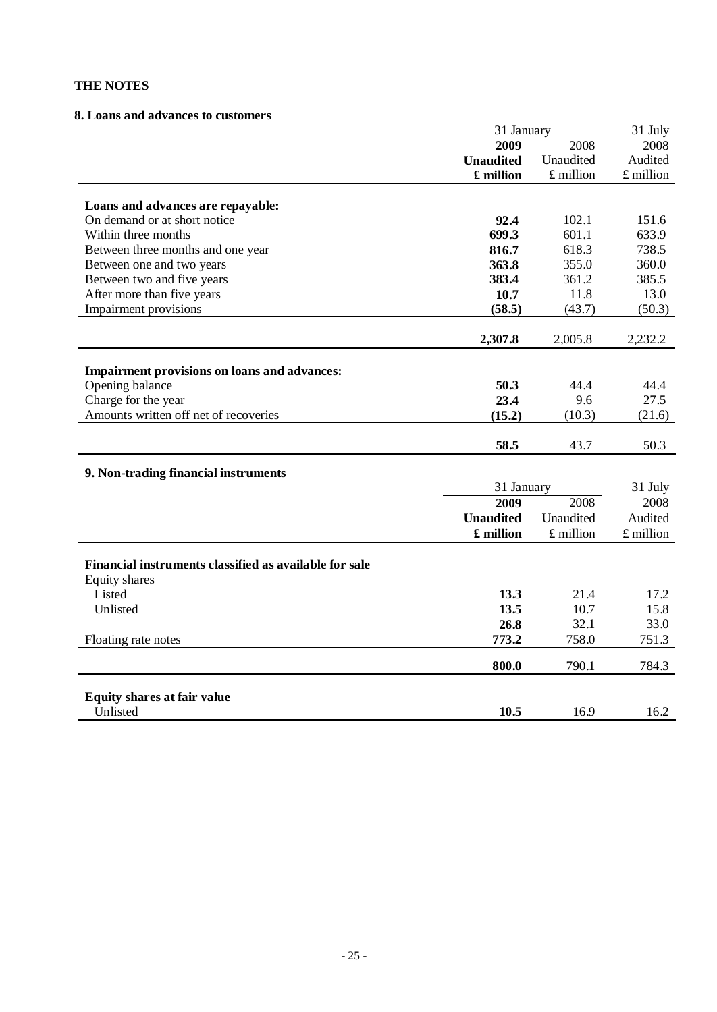#### **8. Loans and advances to customers**

|                                                        | 31 January       | 31 July     |             |
|--------------------------------------------------------|------------------|-------------|-------------|
|                                                        | 2009             | 2008        | 2008        |
|                                                        | <b>Unaudited</b> | Unaudited   | Audited     |
|                                                        | £ million        | $£$ million | $£$ million |
|                                                        |                  |             |             |
| Loans and advances are repayable:                      |                  |             |             |
| On demand or at short notice                           | 92.4             | 102.1       | 151.6       |
| Within three months                                    | 699.3            | 601.1       | 633.9       |
| Between three months and one year                      | 816.7            | 618.3       | 738.5       |
| Between one and two years                              | 363.8            | 355.0       | 360.0       |
| Between two and five years                             | 383.4            | 361.2       | 385.5       |
| After more than five years                             | 10.7             | 11.8        | 13.0        |
| Impairment provisions                                  | (58.5)           | (43.7)      | (50.3)      |
|                                                        |                  |             |             |
|                                                        | 2,307.8          | 2,005.8     | 2,232.2     |
|                                                        |                  |             |             |
| Impairment provisions on loans and advances:           |                  |             |             |
| Opening balance                                        | 50.3             | 44.4        | 44.4        |
| Charge for the year                                    | 23.4             | 9.6         | 27.5        |
| Amounts written off net of recoveries                  | (15.2)           | (10.3)      | (21.6)      |
|                                                        |                  |             |             |
|                                                        | 58.5             | 43.7        | 50.3        |
| 9. Non-trading financial instruments                   |                  |             |             |
|                                                        | 31 January       |             | 31 July     |
|                                                        | 2009             | 2008        | 2008        |
|                                                        | <b>Unaudited</b> | Unaudited   | Audited     |
|                                                        |                  |             |             |
|                                                        | £ million        | $£$ million | £ million   |
|                                                        |                  |             |             |
| Financial instruments classified as available for sale |                  |             |             |
| <b>Equity shares</b><br>Listed                         |                  |             |             |
|                                                        | 13.3             | 21.4        | 17.2        |
| Unlisted                                               | 13.5             | 10.7        | 15.8        |
|                                                        | 26.8             | 32.1        | 33.0        |
| Floating rate notes                                    | 773.2            | 758.0       | 751.3       |
|                                                        | 800.0            | 790.1       | 784.3       |
|                                                        |                  |             |             |
| <b>Equity shares at fair value</b>                     |                  |             |             |
| Unlisted                                               | 10.5             | 16.9        | 16.2        |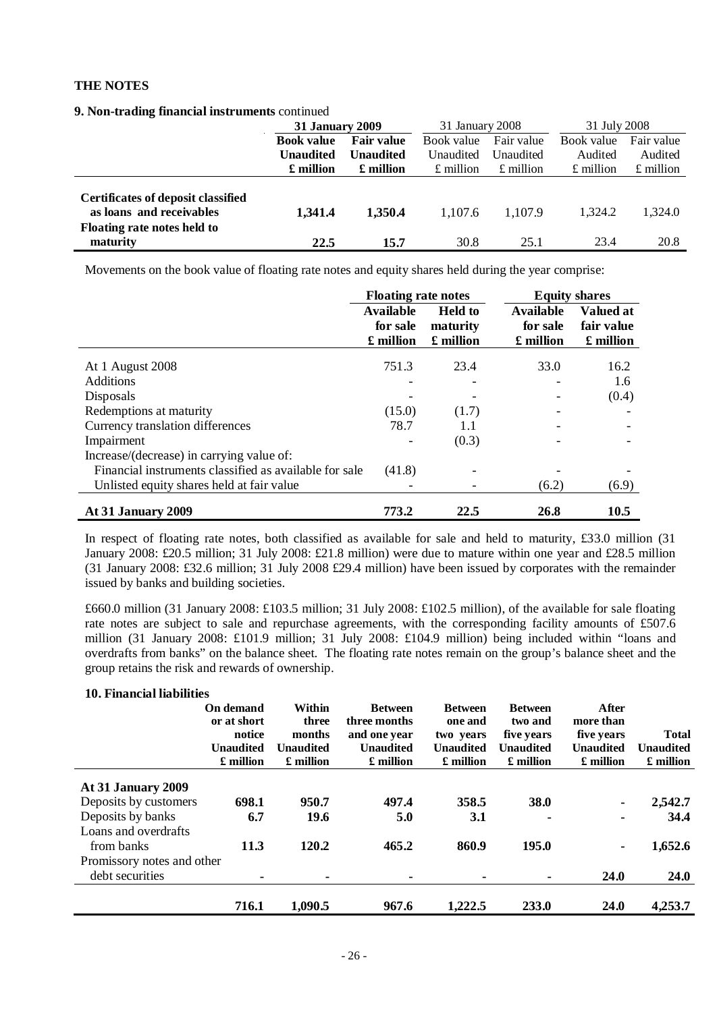|  |  |  |  | 9. Non-trading financial instruments continued |  |
|--|--|--|--|------------------------------------------------|--|
|--|--|--|--|------------------------------------------------|--|

|                                                                                                           | <b>31 January 2009</b> |                   | 31 January 2008   |                   | 31 July 2008    |                 |
|-----------------------------------------------------------------------------------------------------------|------------------------|-------------------|-------------------|-------------------|-----------------|-----------------|
|                                                                                                           | <b>Book value</b>      | <b>Fair value</b> | Book value        | Fair value        | Book value      | Fair value      |
|                                                                                                           | Unaudited              | <b>Unaudited</b>  | Unaudited         | Unaudited         | Audited         | Audited         |
|                                                                                                           | £ million              | £ million         | $\pounds$ million | $\pounds$ million | $£$ million     | $£$ million     |
| Certificates of deposit classified<br>as loans and receivables<br>Floating rate notes held to<br>maturity | 1,341.4<br>22.5        | 1,350.4<br>15.7   | 1.107.6<br>30.8   | 1.107.9<br>25.1   | 1.324.2<br>23.4 | 1.324.0<br>20.8 |

Movements on the book value of floating rate notes and equity shares held during the year comprise:

|                                                        | <b>Floating rate notes</b> |                          |                       | <b>Equity shares</b>    |
|--------------------------------------------------------|----------------------------|--------------------------|-----------------------|-------------------------|
|                                                        | <b>Available</b>           | <b>Held to</b>           | <b>Available</b>      | <b>Valued at</b>        |
|                                                        | for sale<br>£ million      | maturity<br>£ million    | for sale<br>£ million | fair value<br>£ million |
| At 1 August 2008                                       | 751.3                      | 23.4                     | 33.0                  | 16.2                    |
| <b>Additions</b>                                       |                            | $\overline{\phantom{0}}$ |                       | 1.6                     |
| Disposals                                              |                            |                          |                       | (0.4)                   |
| Redemptions at maturity                                | (15.0)                     | (1.7)                    |                       |                         |
| Currency translation differences                       | 78.7                       | 1.1                      |                       |                         |
| Impairment                                             |                            | (0.3)                    |                       |                         |
| Increase/(decrease) in carrying value of:              |                            |                          |                       |                         |
| Financial instruments classified as available for sale | (41.8)                     | -                        |                       |                         |
| Unlisted equity shares held at fair value              |                            |                          | (6.2)                 | (6.9)                   |
| <b>At 31 January 2009</b>                              | 773.2                      | 22.5                     | 26.8                  | 10.5                    |

In respect of floating rate notes, both classified as available for sale and held to maturity, £33.0 million (31 January 2008: £20.5 million; 31 July 2008: £21.8 million) were due to mature within one year and £28.5 million (31 January 2008: £32.6 million; 31 July 2008 £29.4 million) have been issued by corporates with the remainder issued by banks and building societies.

£660.0 million (31 January 2008: £103.5 million; 31 July 2008: £102.5 million), of the available for sale floating rate notes are subject to sale and repurchase agreements, with the corresponding facility amounts of £507.6 million (31 January 2008: £101.9 million; 31 July 2008: £104.9 million) being included within "loans and overdrafts from banks" on the balance sheet. The floating rate notes remain on the group's balance sheet and the group retains the risk and rewards of ownership.

| 10. Financial liabilities  |                  |                  |                  |                  |                  |                  |                  |
|----------------------------|------------------|------------------|------------------|------------------|------------------|------------------|------------------|
|                            | On demand        | Within           | <b>Between</b>   | <b>Between</b>   | <b>Between</b>   | <b>After</b>     |                  |
|                            | or at short      | three            | three months     | one and          | two and          | more than        |                  |
|                            | notice           | months           | and one year     | two years        | five years       | five years       | <b>Total</b>     |
|                            | <b>Unaudited</b> | <b>Unaudited</b> | <b>Unaudited</b> | <b>Unaudited</b> | <b>Unaudited</b> | <b>Unaudited</b> | <b>Unaudited</b> |
|                            | £ million        | £ million        | £ million        | £ million        | £ million        | £ million        | £ million        |
| At 31 January 2009         |                  |                  |                  |                  |                  |                  |                  |
| Deposits by customers      | 698.1            | 950.7            | 497.4            | 358.5            | 38.0             |                  | 2,542.7          |
| Deposits by banks          | 6.7              | 19.6             | 5.0              | 3.1              |                  | $\blacksquare$   | 34.4             |
| Loans and overdrafts       |                  |                  |                  |                  |                  |                  |                  |
| from banks                 | 11.3             | 120.2            | 465.2            | 860.9            | 195.0            | $\blacksquare$   | 1,652.6          |
| Promissory notes and other |                  |                  |                  |                  |                  |                  |                  |
| debt securities            |                  |                  |                  |                  |                  | 24.0             | <b>24.0</b>      |
|                            | 716.1            | 1,090.5          | 967.6            | 1,222.5          | 233.0            | <b>24.0</b>      | 4,253.7          |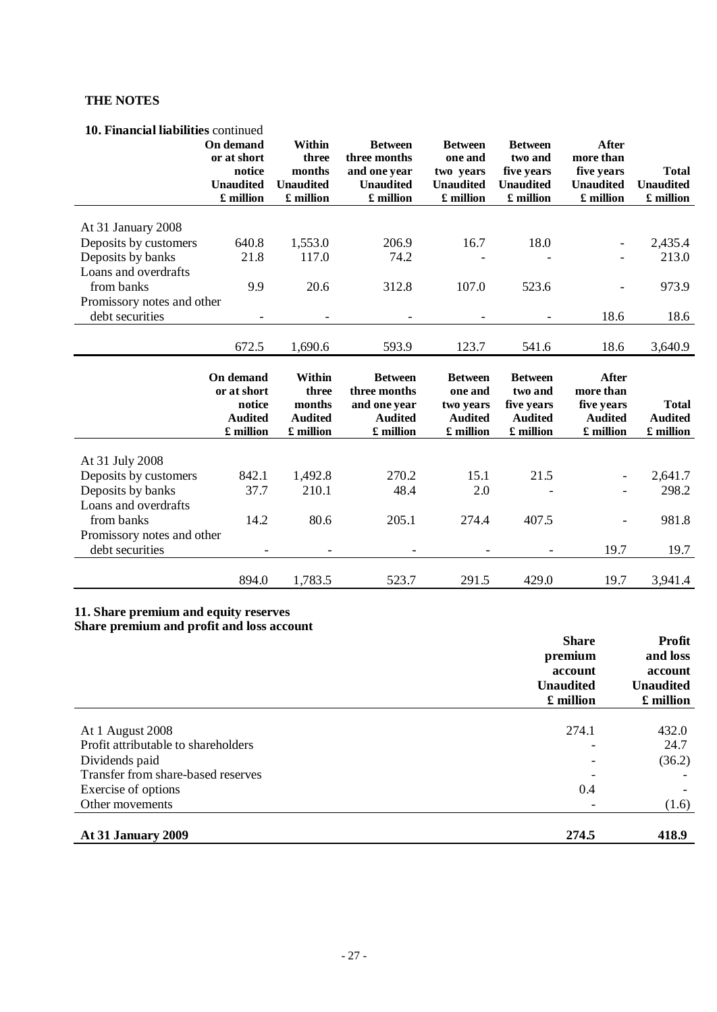# **10. Financial liabilities** continued

|                                               | On demand<br>or at short<br>notice<br><b>Unaudited</b><br>£ million | Within<br>three<br>months<br><b>Unaudited</b><br>£ million | <b>Between</b><br>three months<br>and one year<br><b>Unaudited</b><br>£ million | <b>Between</b><br>one and<br>two years<br><b>Unaudited</b><br>£ million | <b>Between</b><br>two and<br>five years<br><b>Unaudited</b><br>£ million | After<br>more than<br>five years<br><b>Unaudited</b><br>£ million | <b>Total</b><br><b>Unaudited</b><br>£ million |
|-----------------------------------------------|---------------------------------------------------------------------|------------------------------------------------------------|---------------------------------------------------------------------------------|-------------------------------------------------------------------------|--------------------------------------------------------------------------|-------------------------------------------------------------------|-----------------------------------------------|
| At 31 January 2008                            |                                                                     |                                                            |                                                                                 |                                                                         |                                                                          |                                                                   |                                               |
| Deposits by customers                         | 640.8                                                               | 1,553.0                                                    | 206.9                                                                           | 16.7                                                                    | 18.0                                                                     |                                                                   | 2,435.4                                       |
| Deposits by banks                             | 21.8                                                                | 117.0                                                      | 74.2                                                                            |                                                                         |                                                                          |                                                                   | 213.0                                         |
| Loans and overdrafts                          |                                                                     |                                                            |                                                                                 |                                                                         |                                                                          |                                                                   |                                               |
| from banks                                    | 9.9                                                                 | 20.6                                                       | 312.8                                                                           | 107.0                                                                   | 523.6                                                                    |                                                                   | 973.9                                         |
| Promissory notes and other                    |                                                                     |                                                            |                                                                                 |                                                                         |                                                                          |                                                                   |                                               |
| debt securities                               |                                                                     |                                                            |                                                                                 |                                                                         |                                                                          | 18.6                                                              | 18.6                                          |
|                                               |                                                                     |                                                            |                                                                                 |                                                                         |                                                                          |                                                                   |                                               |
|                                               | 672.5                                                               | 1,690.6                                                    | 593.9                                                                           | 123.7                                                                   | 541.6                                                                    | 18.6                                                              | 3,640.9                                       |
|                                               | On demand<br>or at short<br>notice<br><b>Audited</b><br>£ million   | Within<br>three<br>months<br><b>Audited</b><br>£ million   | <b>Between</b><br>three months<br>and one year<br><b>Audited</b><br>£ million   | <b>Between</b><br>one and<br>two years<br><b>Audited</b><br>£ million   | <b>Between</b><br>two and<br>five years<br><b>Audited</b><br>£ million   | After<br>more than<br>five years<br><b>Audited</b><br>£ million   | <b>Total</b><br><b>Audited</b><br>£ million   |
| At 31 July 2008                               |                                                                     |                                                            |                                                                                 |                                                                         |                                                                          |                                                                   |                                               |
|                                               |                                                                     |                                                            |                                                                                 |                                                                         |                                                                          |                                                                   |                                               |
|                                               |                                                                     |                                                            |                                                                                 |                                                                         |                                                                          |                                                                   |                                               |
| Deposits by customers                         | 842.1                                                               | 1,492.8                                                    | 270.2                                                                           | 15.1                                                                    | 21.5                                                                     |                                                                   | 2,641.7                                       |
| Deposits by banks                             | 37.7                                                                | 210.1                                                      | 48.4                                                                            | 2.0                                                                     |                                                                          |                                                                   | 298.2                                         |
| Loans and overdrafts                          |                                                                     |                                                            |                                                                                 |                                                                         |                                                                          |                                                                   |                                               |
| from banks                                    | 14.2                                                                | 80.6                                                       | 205.1                                                                           | 274.4                                                                   | 407.5                                                                    |                                                                   | 981.8                                         |
| Promissory notes and other<br>debt securities |                                                                     |                                                            |                                                                                 |                                                                         | $\overline{\phantom{a}}$                                                 | 19.7                                                              | 19.7                                          |

#### **11. Share premium and equity reserves Share premium and profit and loss account**

|                                     | <b>Share</b><br>premium<br>account<br><b>Unaudited</b><br>£ million | <b>Profit</b><br>and loss<br>account<br><b>Unaudited</b><br>£ million |
|-------------------------------------|---------------------------------------------------------------------|-----------------------------------------------------------------------|
|                                     |                                                                     |                                                                       |
| At 1 August 2008                    | 274.1                                                               | 432.0                                                                 |
| Profit attributable to shareholders |                                                                     | 24.7                                                                  |
| Dividends paid                      |                                                                     | (36.2)                                                                |
| Transfer from share-based reserves  |                                                                     |                                                                       |
| Exercise of options                 | 0.4                                                                 |                                                                       |
| Other movements                     |                                                                     | (1.6)                                                                 |
| At 31 January 2009                  | 274.5                                                               | 418.9                                                                 |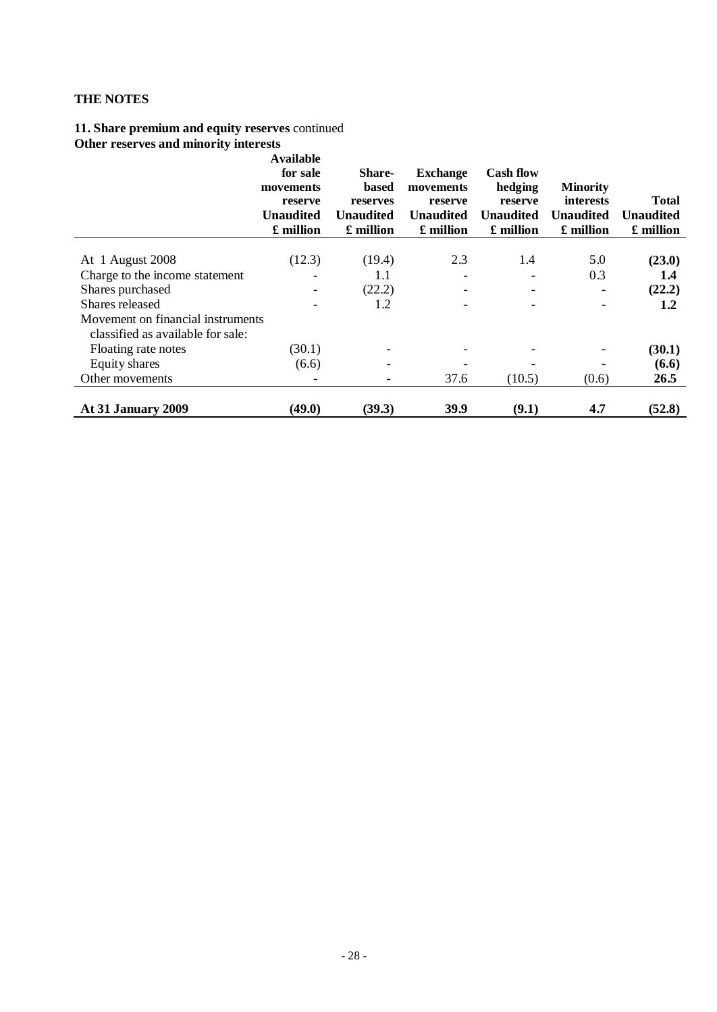### **11. Share premium and equity reserves** continued **Other reserves and minority interests**

|                                   | <b>Available</b><br>for sale<br>movements<br>reserve<br><b>Unaudited</b><br>£ million | <b>Share-</b><br><b>based</b><br>reserves<br><b>Unaudited</b><br>£ million | <b>Exchange</b><br>movements<br>reserve<br><b>Unaudited</b><br>£ million | <b>Cash flow</b><br>hedging<br>reserve<br><b>Unaudited</b><br>£ million | <b>Minority</b><br><i>interests</i><br><b>Unaudited</b><br>£ million | <b>Total</b><br><b>Unaudited</b><br>£ million |
|-----------------------------------|---------------------------------------------------------------------------------------|----------------------------------------------------------------------------|--------------------------------------------------------------------------|-------------------------------------------------------------------------|----------------------------------------------------------------------|-----------------------------------------------|
|                                   |                                                                                       |                                                                            |                                                                          |                                                                         |                                                                      |                                               |
| At 1 August 2008                  | (12.3)                                                                                | (19.4)                                                                     | 2.3                                                                      | 1.4                                                                     | 5.0                                                                  | (23.0)                                        |
| Charge to the income statement    |                                                                                       | 1.1                                                                        |                                                                          |                                                                         | 0.3                                                                  | 1.4                                           |
| Shares purchased                  |                                                                                       | (22.2)                                                                     |                                                                          |                                                                         |                                                                      | (22.2)                                        |
| Shares released                   |                                                                                       | 1.2                                                                        |                                                                          |                                                                         |                                                                      | 1.2                                           |
| Movement on financial instruments |                                                                                       |                                                                            |                                                                          |                                                                         |                                                                      |                                               |
| classified as available for sale: |                                                                                       |                                                                            |                                                                          |                                                                         |                                                                      |                                               |
| Floating rate notes               | (30.1)                                                                                | $\overline{\phantom{a}}$                                                   |                                                                          |                                                                         |                                                                      | (30.1)                                        |
| Equity shares                     | (6.6)                                                                                 |                                                                            |                                                                          |                                                                         |                                                                      | (6.6)                                         |
| Other movements                   |                                                                                       |                                                                            | 37.6                                                                     | (10.5)                                                                  | (0.6)                                                                | 26.5                                          |
| At 31 January 2009                | (49.0)                                                                                | (39.3)                                                                     | 39.9                                                                     | (9.1)                                                                   | 4.7                                                                  | (52.8)                                        |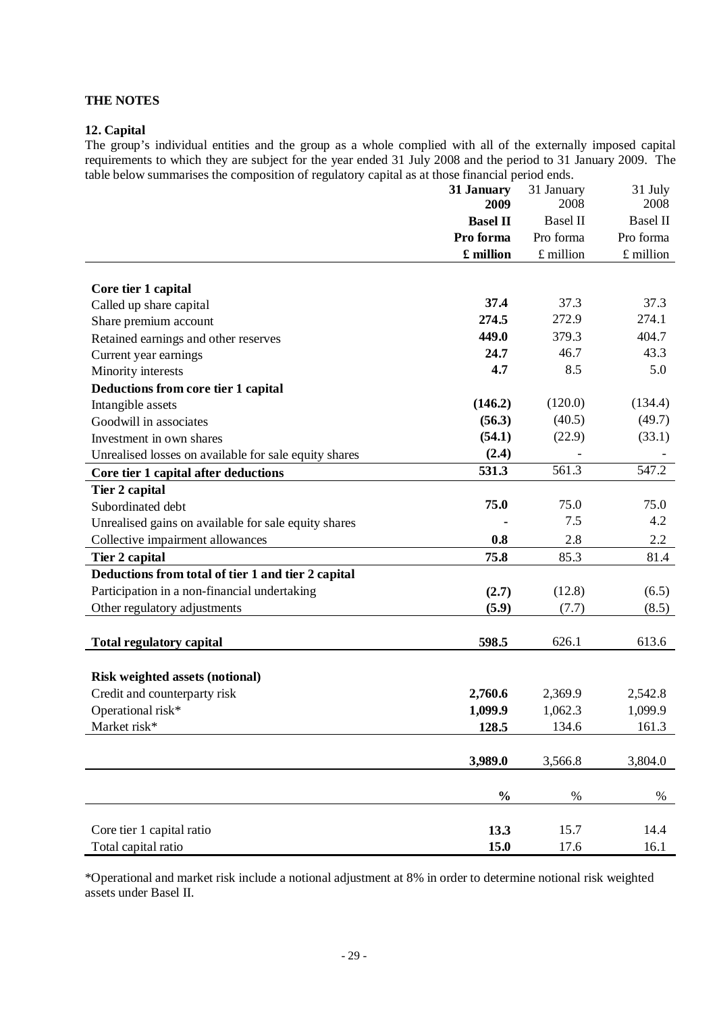### **12. Capital**

The group's individual entities and the group as a whole complied with all of the externally imposed capital requirements to which they are subject for the year ended 31 July 2008 and the period to 31 January 2009. The table below summarises the composition of regulatory capital as at those financial period ends.

|                                                       | 31 January<br>2009 | 31 January<br>2008 | 31 July<br>2008 |
|-------------------------------------------------------|--------------------|--------------------|-----------------|
|                                                       | <b>Basel II</b>    | <b>Basel II</b>    | <b>Basel II</b> |
|                                                       | Pro forma          | Pro forma          | Pro forma       |
|                                                       | £ million          | £ million          | $£$ million     |
|                                                       |                    |                    |                 |
| Core tier 1 capital                                   |                    |                    |                 |
| Called up share capital                               | 37.4               | 37.3               | 37.3            |
| Share premium account                                 | 274.5              | 272.9              | 274.1           |
| Retained earnings and other reserves                  | 449.0              | 379.3              | 404.7           |
| Current year earnings                                 | 24.7               | 46.7               | 43.3            |
| Minority interests                                    | 4.7                | 8.5                | 5.0             |
| Deductions from core tier 1 capital                   |                    |                    |                 |
| Intangible assets                                     | (146.2)            | (120.0)            | (134.4)         |
| Goodwill in associates                                | (56.3)             | (40.5)             | (49.7)          |
| Investment in own shares                              | (54.1)             | (22.9)             | (33.1)          |
| Unrealised losses on available for sale equity shares | (2.4)              |                    |                 |
| Core tier 1 capital after deductions                  | 531.3              | $561.\overline{3}$ | 547.2           |
| Tier 2 capital                                        |                    |                    |                 |
| Subordinated debt                                     | 75.0               | 75.0               | 75.0            |
| Unrealised gains on available for sale equity shares  |                    | 7.5                | 4.2             |
| Collective impairment allowances                      | 0.8                | 2.8                | 2.2             |
| Tier 2 capital                                        | 75.8               | 85.3               | 81.4            |
| Deductions from total of tier 1 and tier 2 capital    |                    |                    |                 |
| Participation in a non-financial undertaking          | (2.7)              | (12.8)             | (6.5)           |
| Other regulatory adjustments                          | (5.9)              | (7.7)              | (8.5)           |
|                                                       |                    |                    |                 |
| <b>Total regulatory capital</b>                       | 598.5              | 626.1              | 613.6           |
|                                                       |                    |                    |                 |
| Risk weighted assets (notional)                       |                    |                    |                 |
| Credit and counterparty risk                          | 2,760.6            | 2,369.9            | 2,542.8         |
| Operational risk*                                     | 1,099.9            | 1,062.3            | 1,099.9         |
| Market risk*                                          | 128.5              | 134.6              | 161.3           |
|                                                       | 3,989.0            | 3,566.8            | 3,804.0         |
|                                                       |                    |                    |                 |
|                                                       | $\frac{0}{0}$      | $\%$               | $\%$            |
|                                                       |                    |                    |                 |
| Core tier 1 capital ratio                             | 13.3               | 15.7               | 14.4            |
| Total capital ratio                                   | 15.0               | 17.6               | 16.1            |

\*Operational and market risk include a notional adjustment at 8% in order to determine notional risk weighted assets under Basel II.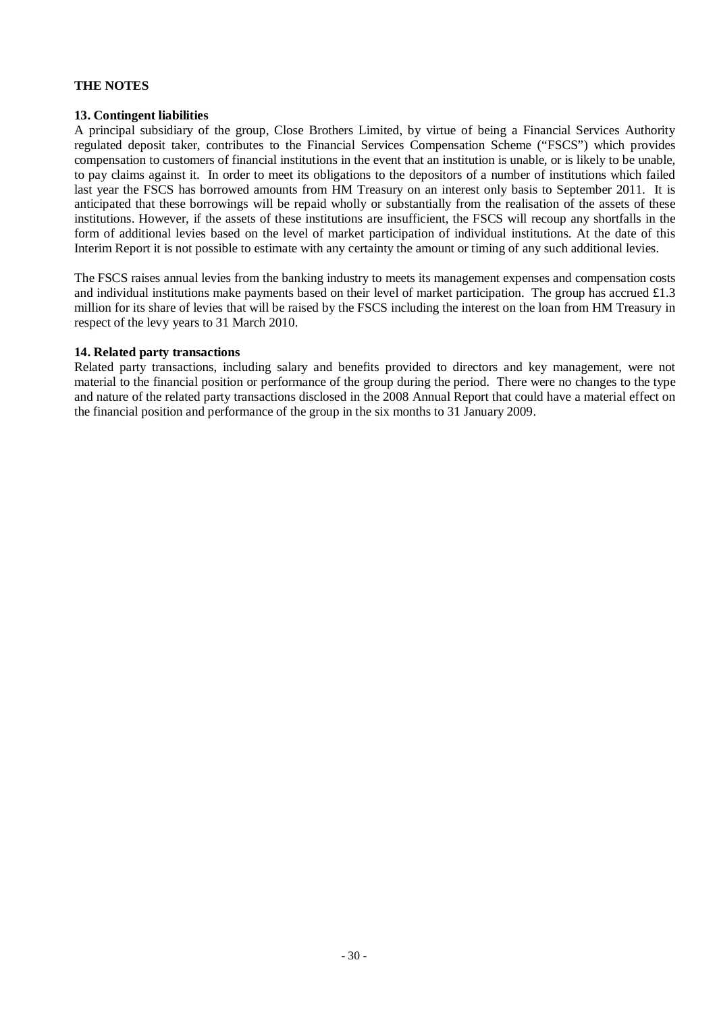#### **13. Contingent liabilities**

A principal subsidiary of the group, Close Brothers Limited, by virtue of being a Financial Services Authority regulated deposit taker, contributes to the Financial Services Compensation Scheme ("FSCS") which provides compensation to customers of financial institutions in the event that an institution is unable, or is likely to be unable, to pay claims against it. In order to meet its obligations to the depositors of a number of institutions which failed last year the FSCS has borrowed amounts from HM Treasury on an interest only basis to September 2011. It is anticipated that these borrowings will be repaid wholly or substantially from the realisation of the assets of these institutions. However, if the assets of these institutions are insufficient, the FSCS will recoup any shortfalls in the form of additional levies based on the level of market participation of individual institutions. At the date of this Interim Report it is not possible to estimate with any certainty the amount or timing of any such additional levies.

The FSCS raises annual levies from the banking industry to meets its management expenses and compensation costs and individual institutions make payments based on their level of market participation. The group has accrued £1.3 million for its share of levies that will be raised by the FSCS including the interest on the loan from HM Treasury in respect of the levy years to 31 March 2010.

#### **14. Related party transactions**

Related party transactions, including salary and benefits provided to directors and key management, were not material to the financial position or performance of the group during the period. There were no changes to the type and nature of the related party transactions disclosed in the 2008 Annual Report that could have a material effect on the financial position and performance of the group in the six months to 31 January 2009.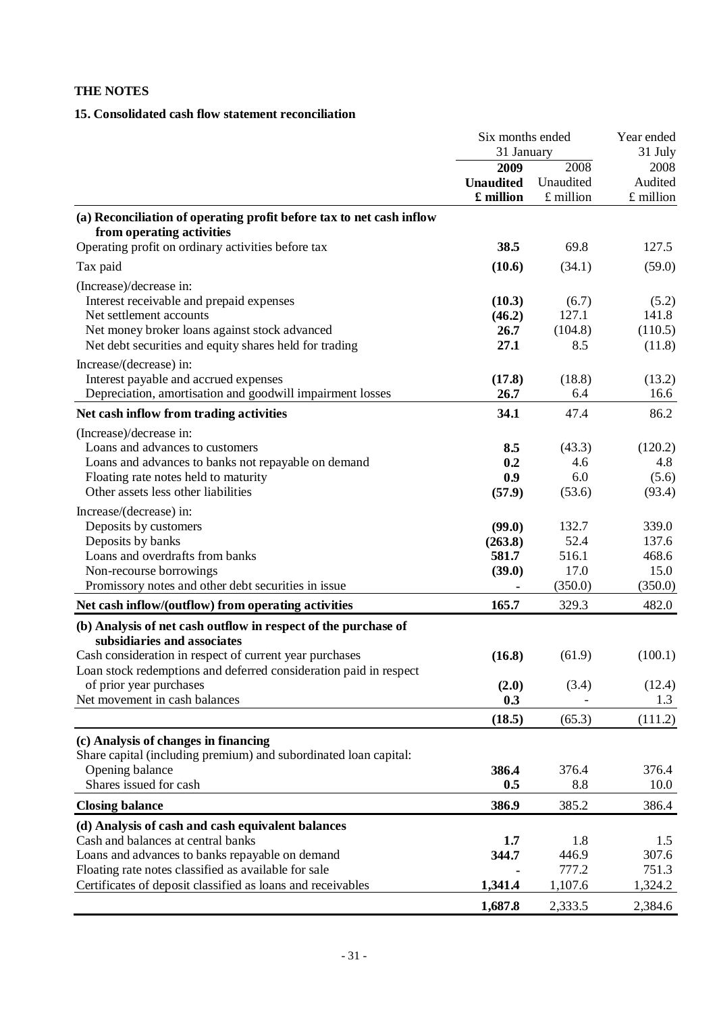# **15. Consolidated cash flow statement reconciliation**

|                                                                                                                              | Six months ended<br>31 January        |                                | Year ended<br>31 July          |
|------------------------------------------------------------------------------------------------------------------------------|---------------------------------------|--------------------------------|--------------------------------|
|                                                                                                                              | 2009<br><b>Unaudited</b><br>£ million | 2008<br>Unaudited<br>£ million | 2008<br>Audited<br>$£$ million |
| (a) Reconciliation of operating profit before tax to net cash inflow<br>from operating activities                            |                                       |                                |                                |
| Operating profit on ordinary activities before tax                                                                           | 38.5                                  | 69.8                           | 127.5                          |
| Tax paid                                                                                                                     | (10.6)                                | (34.1)                         | (59.0)                         |
| (Increase)/decrease in:                                                                                                      |                                       |                                |                                |
| Interest receivable and prepaid expenses                                                                                     | (10.3)                                | (6.7)                          | (5.2)                          |
| Net settlement accounts                                                                                                      | (46.2)                                | 127.1                          | 141.8                          |
| Net money broker loans against stock advanced                                                                                | 26.7                                  | (104.8)                        | (110.5)                        |
| Net debt securities and equity shares held for trading                                                                       | 27.1                                  | 8.5                            | (11.8)                         |
| Increase/(decrease) in:                                                                                                      |                                       |                                |                                |
| Interest payable and accrued expenses<br>Depreciation, amortisation and goodwill impairment losses                           | (17.8)                                | (18.8)                         | (13.2)                         |
|                                                                                                                              | 26.7                                  | 6.4                            | 16.6                           |
| Net cash inflow from trading activities                                                                                      | 34.1                                  | 47.4                           | 86.2                           |
| (Increase)/decrease in:                                                                                                      |                                       |                                |                                |
| Loans and advances to customers                                                                                              | 8.5                                   | (43.3)                         | (120.2)                        |
| Loans and advances to banks not repayable on demand                                                                          | 0.2<br>0.9                            | 4.6<br>6.0                     | 4.8                            |
| Floating rate notes held to maturity<br>Other assets less other liabilities                                                  | (57.9)                                | (53.6)                         | (5.6)<br>(93.4)                |
|                                                                                                                              |                                       |                                |                                |
| Increase/(decrease) in:                                                                                                      | (99.0)                                | 132.7                          | 339.0                          |
| Deposits by customers<br>Deposits by banks                                                                                   | (263.8)                               | 52.4                           | 137.6                          |
| Loans and overdrafts from banks                                                                                              | 581.7                                 | 516.1                          | 468.6                          |
| Non-recourse borrowings                                                                                                      | (39.0)                                | 17.0                           | 15.0                           |
| Promissory notes and other debt securities in issue                                                                          |                                       | (350.0)                        | (350.0)                        |
| Net cash inflow/(outflow) from operating activities                                                                          | 165.7                                 | 329.3                          | 482.0                          |
| (b) Analysis of net cash outflow in respect of the purchase of<br>subsidiaries and associates                                |                                       |                                |                                |
| Cash consideration in respect of current year purchases<br>Loan stock redemptions and deferred consideration paid in respect | (16.8)                                | (61.9)                         | (100.1)                        |
| of prior year purchases                                                                                                      | (2.0)                                 | (3.4)                          | (12.4)                         |
| Net movement in cash balances                                                                                                | 0.3                                   |                                | 1.3                            |
|                                                                                                                              | (18.5)                                | (65.3)                         | (111.2)                        |
| (c) Analysis of changes in financing                                                                                         |                                       |                                |                                |
| Share capital (including premium) and subordinated loan capital:                                                             |                                       |                                |                                |
| Opening balance                                                                                                              | 386.4                                 | 376.4                          | 376.4                          |
| Shares issued for cash                                                                                                       | 0.5                                   | 8.8                            | 10.0                           |
| <b>Closing balance</b>                                                                                                       | 386.9                                 | 385.2                          | 386.4                          |
| (d) Analysis of cash and cash equivalent balances                                                                            |                                       |                                |                                |
| Cash and balances at central banks                                                                                           | 1.7                                   | 1.8                            | 1.5                            |
| Loans and advances to banks repayable on demand                                                                              | 344.7                                 | 446.9                          | 307.6                          |
| Floating rate notes classified as available for sale                                                                         |                                       | 777.2                          | 751.3                          |
| Certificates of deposit classified as loans and receivables                                                                  | 1,341.4                               | 1,107.6                        | 1,324.2                        |
|                                                                                                                              | 1,687.8                               | 2,333.5                        | 2,384.6                        |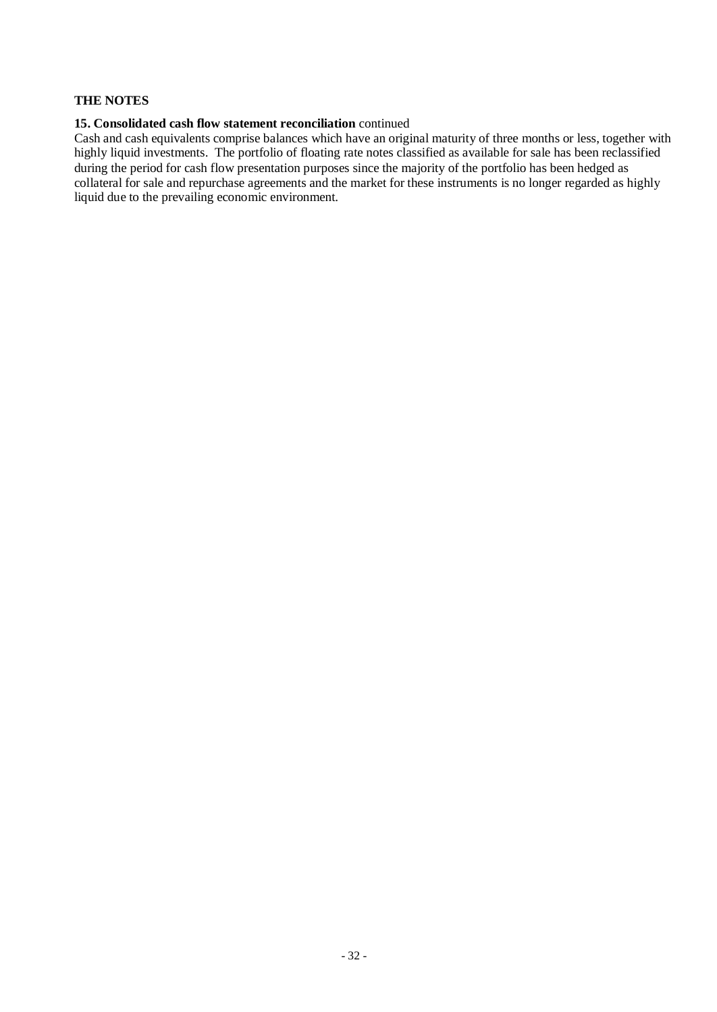#### **15. Consolidated cash flow statement reconciliation** continued

Cash and cash equivalents comprise balances which have an original maturity of three months or less, together with highly liquid investments. The portfolio of floating rate notes classified as available for sale has been reclassified during the period for cash flow presentation purposes since the majority of the portfolio has been hedged as collateral for sale and repurchase agreements and the market for these instruments is no longer regarded as highly liquid due to the prevailing economic environment.